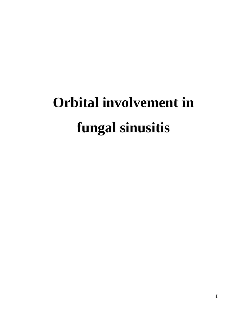# **Orbital involvement in fungal sinusitis**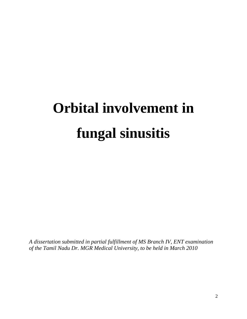## **Orbital involvement in fungal sinusitis**

*A dissertation submitted in partial fulfillment of MS Branch IV, ENT examination of the Tamil Nadu Dr. MGR Medical University, to be held in March 2010*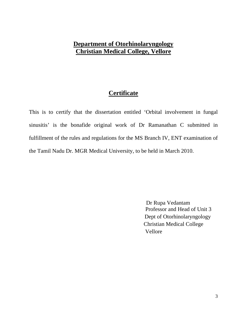## **Department of Otorhinolaryngology Christian Medical College, Vellore**

## **Certificate**

This is to certify that the dissertation entitled 'Orbital involvement in fungal sinusitis' is the bonafide original work of Dr Ramanathan C submitted in fulfillment of the rules and regulations for the MS Branch IV, ENT examination of the Tamil Nadu Dr. MGR Medical University, to be held in March 2010.

> Dr Rupa Vedantam Professor and Head of Unit 3 Dept of Otorhinolaryngology Christian Medical College Vellore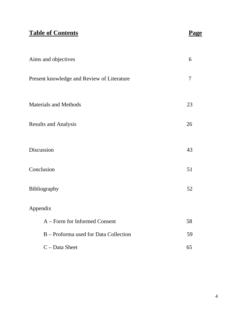## **Table of Contents** Page

| Aims and objectives                        | 6      |
|--------------------------------------------|--------|
| Present knowledge and Review of Literature | $\tau$ |
| <b>Materials and Methods</b>               | 23     |
| <b>Results and Analysis</b>                | 26     |
| Discussion                                 | 43     |
| Conclusion                                 | 51     |
| Bibliography                               | 52     |
| Appendix                                   |        |
| A - Form for Informed Consent              | 58     |
| B – Proforma used for Data Collection      | 59     |
| $C$ – Data Sheet                           | 65     |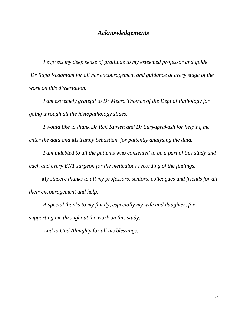### *Acknowledgements*

 *I express my deep sense of gratitude to my esteemed professor and guide Dr Rupa Vedantam for all her encouragement and guidance at every stage of the work on this dissertation.* 

 *I am extremely grateful to Dr Meera Thomas of the Dept of Pathology for going through all the histopathology slides.* 

 *I would like to thank Dr Reji Kurien and Dr Suryaprakash for helping me enter the data and Ms.Tunny Sebastian for patiently analysing the data.* 

 *I am indebted to all the patients who consented to be a part of this study and each and every ENT surgeon for the meticulous recording of the findings.* 

 *My sincere thanks to all my professors, seniors, colleagues and friends for all their encouragement and help.* 

 *A special thanks to my family, especially my wife and daughter, for supporting me throughout the work on this study.* 

 *And to God Almighty for all his blessings.*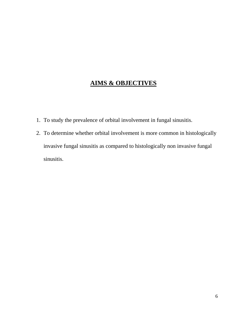## **AIMS & OBJECTIVES**

- 1. To study the prevalence of orbital involvement in fungal sinusitis.
- 2. To determine whether orbital involvement is more common in histologically invasive fungal sinusitis as compared to histologically non invasive fungal sinusitis.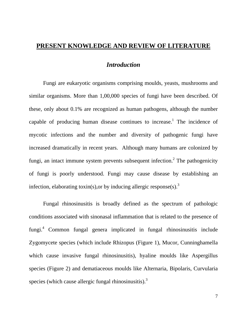## **PRESENT KNOWLEDGE AND REVIEW OF LITERATURE**

## *Introduction*

 Fungi are eukaryotic organisms comprising moulds, yeasts, mushrooms and similar organisms. More than 1,00,000 species of fungi have been described. Of these, only about 0.1% are recognized as human pathogens, although the number capable of producing human disease continues to increase.<sup>1</sup> The incidence of mycotic infections and the number and diversity of pathogenic fungi have increased dramatically in recent years. Although many humans are colonized by fungi, an intact immune system prevents subsequent infection.<sup>2</sup> The pathogenicity of fungi is poorly understood. Fungi may cause disease by establishing an infection, elaborating toxin(s), or by inducing allergic response(s).<sup>3</sup>

 Fungal rhinosinusitis is broadly defined as the spectrum of pathologic conditions associated with sinonasal inflammation that is related to the presence of fungi.4 Common fungal genera implicated in fungal rhinosinusitis include Zygomycete species (which include Rhizopus (Figure 1), Mucor, Cunninghamella which cause invasive fungal rhinosinusitis), hyaline moulds like Aspergillus species (Figure 2) and dematiaceous moulds like Alternaria, Bipolaris, Curvularia species (which cause allergic fungal rhinosinusitis). $3<sup>3</sup>$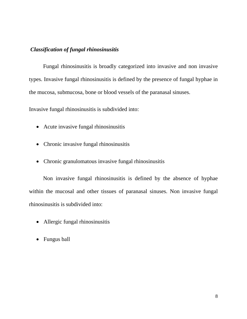#### *Classification of fungal rhinosinusitis*

 Fungal rhinosinusitis is broadly categorized into invasive and non invasive types. Invasive fungal rhinosinusitis is defined by the presence of fungal hyphae in the mucosa, submucosa, bone or blood vessels of the paranasal sinuses.

Invasive fungal rhinosinusitis is subdivided into:

- Acute invasive fungal rhinosinusitis
- Chronic invasive fungal rhinosinusitis
- Chronic granulomatous invasive fungal rhinosinusitis

 Non invasive fungal rhinosinusitis is defined by the absence of hyphae within the mucosal and other tissues of paranasal sinuses. Non invasive fungal rhinosinusitis is subdivided into:

- Allergic fungal rhinosinusitis
- Fungus ball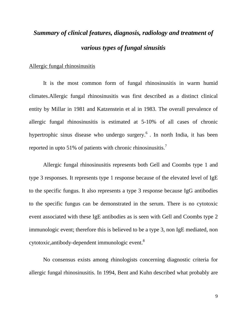## *Summary of clinical features, diagnosis, radiology and treatment of various types of fungal sinusitis*

#### Allergic fungal rhinosinusitis

 It is the most common form of fungal rhinosinusitis in warm humid climates.Allergic fungal rhinosinusitis was first described as a distinct clinical entity by Millar in 1981 and Katzenstein et al in 1983. The overall prevalence of allergic fungal rhinosinusitis is estimated at 5-10% of all cases of chronic hypertrophic sinus disease who undergo surgery.<sup>6</sup>. In north India, it has been reported in upto 51% of patients with chronic rhinosinusitis.<sup>7</sup>

 Allergic fungal rhinosinusitis represents both Gell and Coombs type 1 and type 3 responses. It represents type 1 response because of the elevated level of IgE to the specific fungus. It also represents a type 3 response because IgG antibodies to the specific fungus can be demonstrated in the serum. There is no cytotoxic event associated with these IgE antibodies as is seen with Gell and Coombs type 2 immunologic event; therefore this is believed to be a type 3, non IgE mediated, non cytotoxic,antibody-dependent immunologic event.8

 No consensus exists among rhinologists concerning diagnostic criteria for allergic fungal rhinosinusitis. In 1994, Bent and Kuhn described what probably are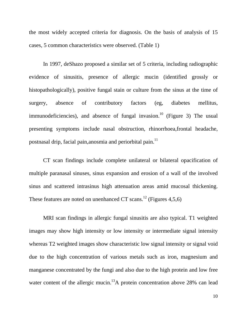the most widely accepted criteria for diagnosis. On the basis of analysis of 15 cases, 5 common characteristics were observed. (Table 1)

 In 1997, deShazo proposed a similar set of 5 criteria, including radiographic evidence of sinusitis, presence of allergic mucin (identified grossly or histopathologically), positive fungal stain or culture from the sinus at the time of surgery, absence of contributory factors (eg, diabetes mellitus, immunodeficiencies), and absence of fungal invasion.<sup>10</sup> (Figure 3) The usual presenting symptoms include nasal obstruction, rhinorrhoea,frontal headache, postnasal drip, facial pain, anosmia and periorbital pain.<sup>11</sup>

 CT scan findings include complete unilateral or bilateral opacification of multiple paranasal sinuses, sinus expansion and erosion of a wall of the involved sinus and scattered intrasinus high attenuation areas amid mucosal thickening. These features are noted on unenhanced CT scans.<sup>12</sup> (Figures 4,5,6)

 MRI scan findings in allergic fungal sinusitis are also typical. T1 weighted images may show high intensity or low intensity or intermediate signal intensity whereas T2 weighted images show characteristic low signal intensity or signal void due to the high concentration of various metals such as iron, magnesium and manganese concentrated by the fungi and also due to the high protein and low free water content of the allergic mucin.<sup>13</sup>A protein concentration above 28% can lead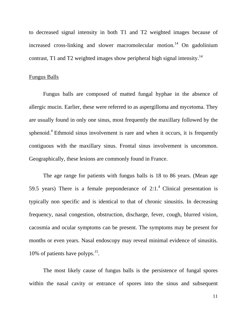to decreased signal intensity in both T1 and T2 weighted images because of increased cross-linking and slower macromolecular motion.<sup>14</sup> On gadolinium contrast, T1 and T2 weighted images show peripheral high signal intensity.<sup>14</sup>

#### Fungus Balls

 Fungus balls are composed of matted fungal hyphae in the absence of allergic mucin. Earlier, these were referred to as aspergilloma and mycetoma. They are usually found in only one sinus, most frequently the maxillary followed by the sphenoid.<sup>4</sup> Ethmoid sinus involvement is rare and when it occurs, it is frequently contiguous with the maxillary sinus. Frontal sinus involvement is uncommon. Geographically, these lesions are commonly found in France.

 The age range for patients with fungus balls is 18 to 86 years. (Mean age 59.5 years) There is a female preponderance of  $2:1.^4$  Clinical presentation is typically non specific and is identical to that of chronic sinusitis. In decreasing frequency, nasal congestion, obstruction, discharge, fever, cough, blurred vision, cacosmia and ocular symptoms can be present. The symptoms may be present for months or even years. Nasal endoscopy may reveal minimal evidence of sinusitis. 10% of patients have polyps. $15$ .

 The most likely cause of fungus balls is the persistence of fungal spores within the nasal cavity or entrance of spores into the sinus and subsequent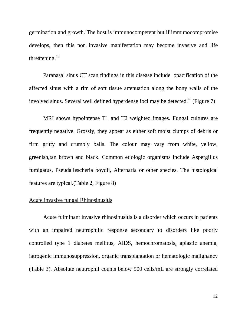germination and growth. The host is immunocompetent but if immunocompromise develops, then this non invasive manifestation may become invasive and life threatening.16

 Paranasal sinus CT scan findings in this disease include opacification of the affected sinus with a rim of soft tissue attenuation along the bony walls of the involved sinus. Several well defined hyperdense foci may be detected.<sup>4</sup> (Figure 7)

 MRI shows hypointense T1 and T2 weighted images. Fungal cultures are frequently negative. Grossly, they appear as either soft moist clumps of debris or firm gritty and crumbly balls. The colour may vary from white, yellow, greenish,tan brown and black. Common etiologic organisms include Aspergillus fumigatus, Pseudallescheria boydii, Alternaria or other species. The histological features are typical.(Table 2, Figure 8)

#### Acute invasive fungal Rhinosinusitis

 Acute fulminant invasive rhinosinusitis is a disorder which occurs in patients with an impaired neutrophilic response secondary to disorders like poorly controlled type 1 diabetes mellitus, AIDS, hemochromatosis, aplastic anemia, iatrogenic immunosuppression, organic transplantation or hematologic malignancy (Table 3). Absolute neutrophil counts below 500 cells/mL are strongly correlated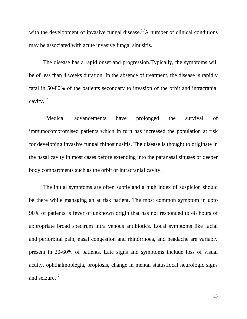with the development of invasive fungal disease.<sup>17</sup>A number of clinical conditions may be associated with acute invasive fungal sinusitis.

 The disease has a rapid onset and progression.Typically, the symptoms will be of less than 4 weeks duration. In the absence of treatment, the disease is rapidly fatal in 50-80% of the patients secondary to invasion of the orbit and intracranial cavity.17

Medical advancements have prolonged the survival of immunocompromised patients which in turn has increased the population at risk for developing invasive fungal rhinosinusitis. The disease is thought to originate in the nasal cavity in most cases before extending into the paranasal sinuses or deeper body compartments such as the orbit or intracranial cavity.

 The initial symptoms are often subtle and a high index of suspicion should be there while managing an at risk patient. The most common symptom in upto 90% of patients is fever of unknown origin that has not responded to 48 hours of appropriate broad spectrum intra venous antibiotics. Local symptoms like facial and periorbital pain, nasal congestion and rhinorrhoea, and headache are variably present in 20-60% of patients. Late signs and symptoms include loss of visual acuity, ophthalmoplegia, proptosis, change in mental status,focal neurologic signs and seizure.<sup>17</sup>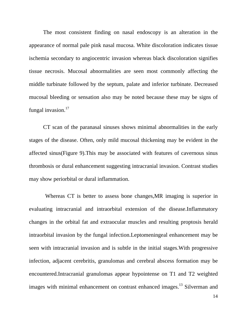The most consistent finding on nasal endoscopy is an alteration in the appearance of normal pale pink nasal mucosa. White discoloration indicates tissue ischemia secondary to angiocentric invasion whereas black discoloration signifies tissue necrosis. Mucosal abnormalities are seen most commonly affecting the middle turbinate followed by the septum, palate and inferior turbinate. Decreased mucosal bleeding or sensation also may be noted because these may be signs of fungal invasion. $17$ 

 CT scan of the paranasal sinuses shows minimal abnormalities in the early stages of the disease. Often, only mild mucosal thickening may be evident in the affected sinus(Figure 9).This may be associated with features of cavernous sinus thrombosis or dural enhancement suggesting intracranial invasion. Contrast studies may show periorbital or dural inflammation.

Whereas CT is better to assess bone changes, MR imaging is superior in evaluating intracranial and intraorbital extension of the disease.Inflammatory changes in the orbital fat and extraocular muscles and resulting proptosis herald intraorbital invasion by the fungal infection.Leptomeningeal enhancement may be seen with intracranial invasion and is subtle in the initial stages.With progressive infection, adjacent cerebritis, granulomas and cerebral abscess formation may be encountered.Intracranial granulomas appear hypointense on T1 and T2 weighted images with minimal enhancement on contrast enhanced images.<sup>13</sup> Silverman and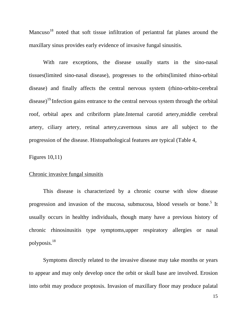Mancuso<sup>18</sup> noted that soft tissue infiltration of periantral fat planes around the maxillary sinus provides early evidence of invasive fungal sinusitis.

With rare exceptions, the disease usually starts in the sino-nasal tissues(limited sino-nasal disease), progresses to the orbits(limited rhino-orbital disease) and finally affects the central nervous system (rhino-orbito-cerebral disease)<sup>19</sup>. Infection gains entrance to the central nervous system through the orbital roof, orbital apex and cribriform plate.Internal carotid artery,middle cerebral artery, ciliary artery, retinal artery,cavernous sinus are all subject to the progression of the disease. Histopathological features are typical (Table 4,

Figures 10,11)

#### Chronic invasive fungal sinusitis

 This disease is characterized by a chronic course with slow disease progression and invasion of the mucosa, submucosa, blood vessels or bone.<sup>5</sup> It usually occurs in healthy individuals, though many have a previous history of chronic rhinosinusitis type symptoms,upper respiratory allergies or nasal polyposis.18

 Symptoms directly related to the invasive disease may take months or years to appear and may only develop once the orbit or skull base are involved. Erosion into orbit may produce proptosis. Invasion of maxillary floor may produce palatal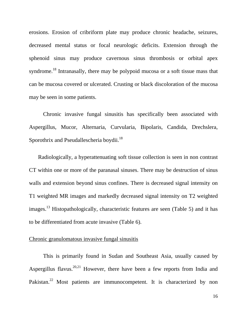erosions. Erosion of cribriform plate may produce chronic headache, seizures, decreased mental status or focal neurologic deficits. Extension through the sphenoid sinus may produce cavernous sinus thrombosis or orbital apex syndrome.<sup>18</sup> Intranasally, there may be polypoid mucosa or a soft tissue mass that can be mucosa covered or ulcerated. Crusting or black discoloration of the mucosa may be seen in some patients.

 Chronic invasive fungal sinusitis has specifically been associated with Aspergillus, Mucor, Alternaria, Curvularia, Bipolaris, Candida, Drechslera, Sporothrix and Pseudallescheria boydii.<sup>18</sup>

 Radiologically, a hyperattenuating soft tissue collection is seen in non contrast CT within one or more of the paranasal sinuses. There may be destruction of sinus walls and extension beyond sinus confines. There is decreased signal intensity on T1 weighted MR images and markedly decreased signal intensity on T2 weighted images.13 Histopathologically, characteristic features are seen (Table 5) and it has to be differentiated from acute invasive (Table 6).

#### Chronic granulomatous invasive fungal sinusitis

 This is primarily found in Sudan and Southeast Asia, usually caused by Aspergillus flavus.<sup>20,21</sup> However, there have been a few reports from India and Pakistan.<sup>22</sup> Most patients are immunocompetent. It is characterized by non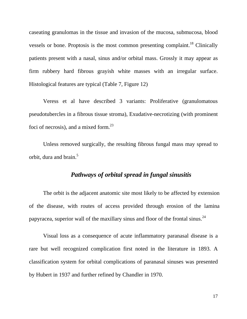caseating granulomas in the tissue and invasion of the mucosa, submucosa, blood vessels or bone. Proptosis is the most common presenting complaint.<sup>18</sup> Clinically patients present with a nasal, sinus and/or orbital mass. Grossly it may appear as firm rubbery hard fibrous grayish white masses with an irregular surface. Histological features are typical (Table 7, Figure 12)

 Veress et al have described 3 variants: Proliferative (granulomatous pseudotubercles in a fibrous tissue stroma), Exudative-necrotizing (with prominent foci of necrosis), and a mixed form.<sup>23</sup>

 Unless removed surgically, the resulting fibrous fungal mass may spread to orbit, dura and brain.<sup>5</sup>

#### *Pathways of orbital spread in fungal sinusitis*

 The orbit is the adjacent anatomic site most likely to be affected by extension of the disease, with routes of access provided through erosion of the lamina papyracea, superior wall of the maxillary sinus and floor of the frontal sinus.<sup>24</sup>

 Visual loss as a consequence of acute inflammatory paranasal disease is a rare but well recognized complication first noted in the literature in 1893. A classification system for orbital complications of paranasal sinuses was presented by Hubert in 1937 and further refined by Chandler in 1970.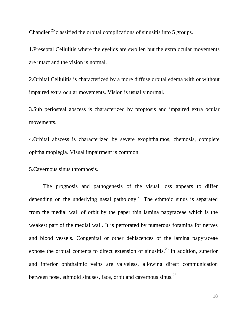Chandler  $^{25}$  classified the orbital complications of sinusitis into 5 groups.

1.Preseptal Cellulitis where the eyelids are swollen but the extra ocular movements are intact and the vision is normal.

2.Orbital Cellulitis is characterized by a more diffuse orbital edema with or without impaired extra ocular movements. Vision is usually normal.

3.Sub periosteal abscess is characterized by proptosis and impaired extra ocular movements.

4.Orbital abscess is characterized by severe exophthalmos, chemosis, complete ophthalmoplegia. Visual impairment is common.

5.Cavernous sinus thrombosis.

 The prognosis and pathogenesis of the visual loss appears to differ depending on the underlying nasal pathology.<sup>26</sup> The ethmoid sinus is separated from the medial wall of orbit by the paper thin lamina papyraceae which is the weakest part of the medial wall. It is perforated by numerous foramina for nerves and blood vessels. Congenital or other dehiscences of the lamina papyraceae expose the orbital contents to direct extension of sinusitis.<sup>26</sup> In addition, superior and inferior ophthalmic veins are valveless, allowing direct communication between nose, ethmoid sinuses, face, orbit and cavernous sinus.<sup>26</sup>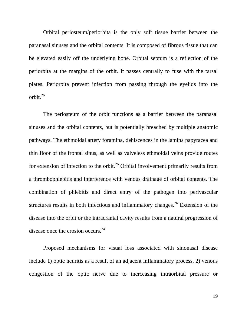Orbital periosteum/periorbita is the only soft tissue barrier between the paranasal sinuses and the orbital contents. It is composed of fibrous tissue that can be elevated easily off the underlying bone. Orbital septum is a reflection of the periorbita at the margins of the orbit. It passes centrally to fuse with the tarsal plates. Periorbita prevent infection from passing through the eyelids into the orbit. $^{26}$ 

 The periosteum of the orbit functions as a barrier between the paranasal sinuses and the orbital contents, but is potentially breached by multiple anatomic pathways. The ethmoidal artery foramina, dehiscences in the lamina papyracea and thin floor of the frontal sinus, as well as valveless ethmoidal veins provide routes for extension of infection to the orbit.<sup>26</sup> Orbital involvement primarily results from a thrombophlebitis and interference with venous drainage of orbital contents. The combination of phlebitis and direct entry of the pathogen into perivascular structures results in both infectious and inflammatory changes.<sup>26</sup> Extension of the disease into the orbit or the intracranial cavity results from a natural progression of disease once the erosion occurs.<sup>24</sup>

 Proposed mechanisms for visual loss associated with sinonasal disease include 1) optic neuritis as a result of an adjacent inflammatory process, 2) venous congestion of the optic nerve due to incrceasing intraorbital pressure or

19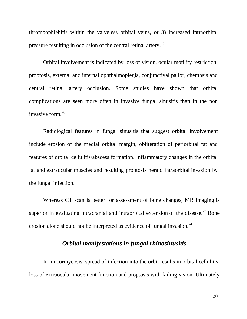thrombophlebitis within the valveless orbital veins, or 3) increased intraorbital pressure resulting in occlusion of the central retinal artery.26

 Orbital involvement is indicated by loss of vision, ocular motility restriction, proptosis, external and internal ophthalmoplegia, conjunctival pallor, chemosis and central retinal artery occlusion. Some studies have shown that orbital complications are seen more often in invasive fungal sinusitis than in the non invasive form.26

 Radiological features in fungal sinusitis that suggest orbital involvement include erosion of the medial orbital margin, obliteration of periorbital fat and features of orbital cellulitis/abscess formation. Inflammatory changes in the orbital fat and extraocular muscles and resulting proptosis herald intraorbital invasion by the fungal infection.

 Whereas CT scan is better for assessment of bone changes, MR imaging is superior in evaluating intracranial and intraorbital extension of the disease.<sup>27</sup> Bone erosion alone should not be interpreted as evidence of fungal invasion.<sup>24</sup>

## *Orbital manifestations in fungal rhinosinusitis*

 In mucormycosis, spread of infection into the orbit results in orbital cellulitis, loss of extraocular movement function and proptosis with failing vision. Ultimately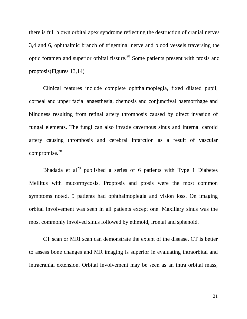there is full blown orbital apex syndrome reflecting the destruction of cranial nerves 3,4 and 6, ophthalmic branch of trigeminal nerve and blood vessels traversing the optic foramen and superior orbital fissure.28 Some patients present with ptosis and proptosis(Figures 13,14)

 Clinical features include complete ophthalmoplegia, fixed dilated pupil, corneal and upper facial anaesthesia, chemosis and conjunctival haemorrhage and blindness resulting from retinal artery thrombosis caused by direct invasion of fungal elements. The fungi can also invade cavernous sinus and internal carotid artery causing thrombosis and cerebral infarction as a result of vascular compromise.28

Bhadada et al<sup>29</sup> published a series of 6 patients with Type 1 Diabetes Mellitus with mucormycosis. Proptosis and ptosis were the most common symptoms noted. 5 patients had ophthalmoplegia and vision loss. On imaging orbital involvement was seen in all patients except one. Maxillary sinus was the most commonly involved sinus followed by ethmoid, frontal and sphenoid.

 CT scan or MRI scan can demonstrate the extent of the disease. CT is better to assess bone changes and MR imaging is superior in evaluating intraorbital and intracranial extension. Orbital involvement may be seen as an intra orbital mass,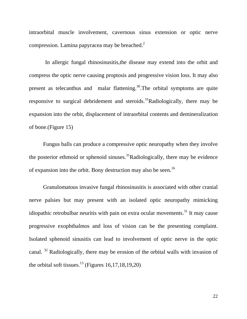intraorbital muscle involvement, cavernous sinus extension or optic nerve compression. Lamina papyracea may be breached.<sup>2</sup>

In allergic fungal rhinosinusitis, the disease may extend into the orbit and compress the optic nerve causing proptosis and progressive vision loss. It may also present as telecanthus and malar flattening.<sup>30</sup>. The orbital symptoms are quite responsive to surgical debridement and steroids.<sup>31</sup>Radiologically, there may be expansion into the orbit, displacement of intraorbital contents and demineralization of bone.(Figure 15)

 Fungus balls can produce a compressive optic neuropathy when they involve the posterior ethmoid or sphenoid sinuses.<sup>31</sup>Radiologically, there may be evidence of expansion into the orbit. Bony destruction may also be seen.<sup>16</sup>

 Granulomatous invasive fungal rhinosinusitis is associated with other cranial nerve palsies but may present with an isolated optic neuropathy mimicking idiopathic retrobulbar neuritis with pain on extra ocular movements.<sup>31</sup> It may cause progressive exophthalmos and loss of vision can be the presenting complaint. Isolated sphenoid sinusitis can lead to involvement of optic nerve in the optic canal. 32 Radiologically, there may be erosion of the orbital walls with invasion of the orbital soft tissues.<sup>13</sup> (Figures 16,17,18,19,20)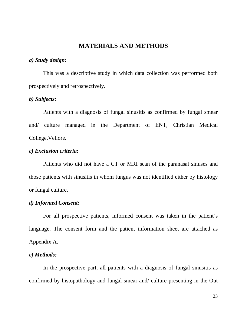## **MATERIALS AND METHODS**

#### *a) Study design:*

 This was a descriptive study in which data collection was performed both prospectively and retrospectively.

#### *b) Subjects:*

 Patients with a diagnosis of fungal sinusitis as confirmed by fungal smear and/ culture managed in the Department of ENT, Christian Medical College,Vellore.

#### *c) Exclusion criteria:*

 Patients who did not have a CT or MRI scan of the paranasal sinuses and those patients with sinusitis in whom fungus was not identified either by histology or fungal culture.

#### *d) Informed Consent:*

 For all prospective patients, informed consent was taken in the patient's language. The consent form and the patient information sheet are attached as Appendix A.

#### *e) Methods:*

 In the prospective part, all patients with a diagnosis of fungal sinusitis as confirmed by histopathology and fungal smear and/ culture presenting in the Out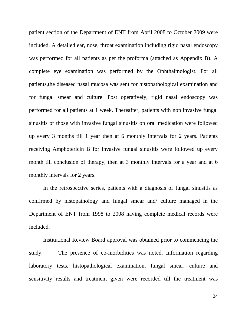patient section of the Department of ENT from April 2008 to October 2009 were included. A detailed ear, nose, throat examination including rigid nasal endoscopy was performed for all patients as per the proforma (attached as Appendix B). A complete eye examination was performed by the Ophthalmologist. For all patients,the diseased nasal mucosa was sent for histopathological examination and for fungal smear and culture. Post operatively, rigid nasal endoscopy was performed for all patients at 1 week. Thereafter, patients with non invasive fungal sinusitis or those with invasive fungal sinusitis on oral medication were followed up every 3 months till 1 year then at 6 monthly intervals for 2 years. Patients receiving Amphotericin B for invasive fungal sinusitis were followed up every month till conclusion of therapy, then at 3 monthly intervals for a year and at 6 monthly intervals for 2 years.

 In the retrospective series, patients with a diagnosis of fungal sinusitis as confirmed by histopathology and fungal smear and/ culture managed in the Department of ENT from 1998 to 2008 having complete medical records were included.

 Institutional Review Board approval was obtained prior to commencing the study. The presence of co-morbidities was noted. Information regarding laboratory tests, histopathological examination, fungal smear, culture and sensitivity results and treatment given were recorded till the treatment was

24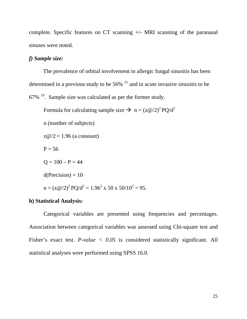complete. Specific features on CT scanning +/- MRI scanning of the paranasal sinuses were noted.

#### *f) Sample size:*

 The prevalence of orbital involvement in allergic fungal sinusitis has been determined in a previous study to be  $56\%$  <sup>21</sup> and in acute invasive sinusitis to be  $67\%$  <sup>19</sup>. Sample size was calculated as per the former study.

Formula for calculating sample size  $\rightarrow$  n =  $(z@/2)^2$  PQ/d<sup>2</sup>

n (number of subjects)

 $z@/2 = 1.96$  (a constant)

 $P = 56$ 

$$
Q = 100 - P = 44
$$

 $d(Precision) = 10$ 

 $n = (z\omega/2)^2 PQ/d^2 = 1.96^2 \times 50 \times 50/10^2 = 95.$ 

#### **h) Statistical Analysis:**

 Categorical variables are presented using frequencies and percentages. Association between categorical variables was assessed using Chi-square test and Fisher's exact test. *P-value < 0.05* is considered statistically significant. All statistical analyses were performed using SPSS 16.0.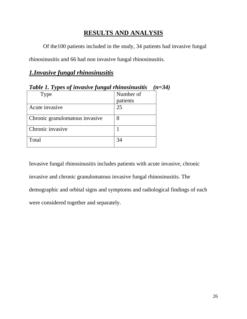## **RESULTS AND ANALYSIS**

Of the100 patients included in the study, 34 patients had invasive fungal

rhinosinusitis and 66 had non invasive fungal rhinosinusitis.

## *1.Invasive fungal rhinosinusitis*

| Tuble 1. Types of invasive fungul minosinusuus<br>–J |           |  |  |  |  |  |
|------------------------------------------------------|-----------|--|--|--|--|--|
| Type                                                 | Number of |  |  |  |  |  |
|                                                      | patients  |  |  |  |  |  |
| Acute invasive                                       | 25        |  |  |  |  |  |
| Chronic granulomatous invasive                       |           |  |  |  |  |  |
| Chronic invasive                                     |           |  |  |  |  |  |
| Total                                                | 34        |  |  |  |  |  |

*Table 1. Types of invasive fungal rhinosinusitis (n=34)*

Invasive fungal rhinosinusitis includes patients with acute invasive, chronic invasive and chronic granulomatous invasive fungal rhinosinusitis. The demographic and orbital signs and symptoms and radiological findings of each were considered together and separately.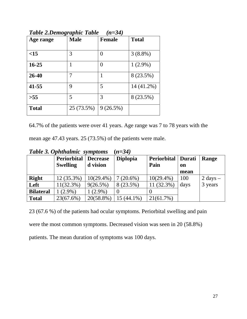| Age range    | <b>Male</b> | <b>Female</b>    | <b>Total</b> |
|--------------|-------------|------------------|--------------|
| <15          | 3           | $\left( \right)$ | $3(8.8\%)$   |
| $16 - 25$    |             | $\left( \right)$ | $1(2.9\%)$   |
| 26-40        |             |                  | 8 (23.5%)    |
| 41-55        | 9           | 5                | 14 (41.2%)   |
| $>55$        | 5           | 3                | 8 (23.5%)    |
| <b>Total</b> | 25 (73.5%)  | 9(26.5%)         |              |

*Table 2.Demographic Table (n=34)*

64.7% of the patients were over 41 years. Age range was 7 to 78 years with the

mean age 47.43 years. 25 (73.5%) of the patients were male.

|                  | <b>Periorbital</b><br><b>Swelling</b> | <b>Decrease</b><br>d vision | <b>Diplopia</b> | Periorbital   Durati<br>Pain | on   | Range              |
|------------------|---------------------------------------|-----------------------------|-----------------|------------------------------|------|--------------------|
|                  |                                       |                             |                 |                              | mean |                    |
| <b>Right</b>     | 12 (35.3%)                            | $10(29.4\%)$                | $7(20.6\%)$     | $10(29.4\%)$                 | 100  | $2 \text{ days} -$ |
| Left             | $11(32.3\%)$                          | $9(26.5\%)$                 | 8 (23.5%)       | $(32.3\%)$                   | days | 3 years            |
| <b>Bilateral</b> | $(2.9\%)$                             | $1(2.9\%)$                  | $\theta$        |                              |      |                    |
| <b>Total</b>     | 23(67.6%)                             | 20(58.8%)                   | $15(44.1\%)$    | $21(61.7\%)$                 |      |                    |

*Table 3. Ophthalmic symptoms* **(***n=34)*

23 (67.6 %) of the patients had ocular symptoms. Periorbital swelling and pain

were the most common symptoms. Decreased vision was seen in 20 (58.8%)

patients. The mean duration of symptoms was 100 days.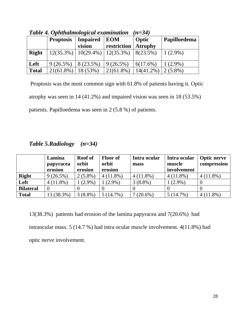|              | Two is a phonomenous component in the | .                                    |              |                |              |
|--------------|---------------------------------------|--------------------------------------|--------------|----------------|--------------|
|              | <b>Proptosis</b>                      | <b>Impaired</b>                      | <b>EOM</b>   | Optic          | Papilloedema |
|              |                                       | vision                               | restriction  | <b>Atrophy</b> |              |
| <b>Right</b> |                                       | $12(35.3\%)$   10(29.4%)   12(35.3%) |              | 8(23.5%)       | $1(2.9\%)$   |
| Left         | $9(26.5\%)$                           | 8 (23.5%)                            | $9(26.5\%)$  | 6(17.6%)       | $1(2.9\%)$   |
| <b>Total</b> | $21(61.8\%)$                          | 18 (53%)                             | $21(61.8\%)$ | $14(41.2\%)$   | $2(5.8\%)$   |

*Table 4. Ophthalmological examination (n=34)*

 Proptosis was the most common sign with 61.8% of patients having it. Optic atrophy was seen in 14 (41.2%) and impaired vision was seen in 18 (53.5%) patients. Papilloedema was seen in 2 (5.8 %) of patients.

*Table 5.Radiology (n=34)* 

|                  | Lamina<br>papyracea<br>erosion | <b>Roof</b> of<br>orbit<br>erosion | <b>Floor of</b><br>orbit<br>erosion | Intra ocular<br>mass | Intra ocular<br>muscle<br>involvement | <b>Optic nerve</b><br>compression |
|------------------|--------------------------------|------------------------------------|-------------------------------------|----------------------|---------------------------------------|-----------------------------------|
| <b>Right</b>     | $9(26.5\%)$                    | $2(5.8\%)$                         | $4(11.8\%)$                         | $4(11.8\%)$          | $4(11.8\%)$                           | $4(11.8\%)$                       |
| Left             | $4(11.8\%)$                    | $(2.9\%)$                          | $(2.9\%)$                           | $3(8.8\%)$           | $1(2.9\%)$                            |                                   |
| <b>Bilateral</b> |                                |                                    |                                     |                      |                                       |                                   |
| <b>Total</b>     | 13 (38.3%)                     | $3(8.8\%)$                         | 5(14.7%)                            | $7(20.6\%)$          | 5(14.7%)                              | $4(11.8\%)$                       |

13(38.3%) patients had erosion of the lamina papyracea and 7(20.6%) had intraocular mass. 5 (14.7 %) had intra ocular muscle involvement. 4(11.8%) had optic nerve involvement.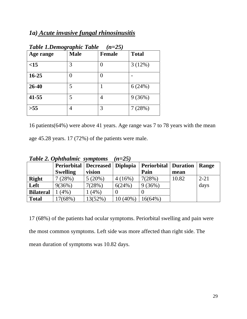## *1a) Acute invasive fungal rhinosinusitis*

| Tuvit 1.Demogrupnic Tuvit<br>$10 - 20$ |             |               |              |  |  |  |
|----------------------------------------|-------------|---------------|--------------|--|--|--|
| Age range                              | <b>Male</b> | <b>Female</b> | <b>Total</b> |  |  |  |
| <15                                    | 3           | 0             | 3(12%)       |  |  |  |
| $16 - 25$                              |             | 0             |              |  |  |  |
| 26-40                                  | 5           | 1             | 6(24%)       |  |  |  |
| $41 - 55$                              | 5           | 4             | 9(36%)       |  |  |  |
| $>55$                                  | 4           | 3             | 7(28%)       |  |  |  |

## *Table 1.Demographic Table (n=25)*

16 patients(64%) were above 41 years. Age range was 7 to 78 years with the mean

age 45.28 years. 17 (72%) of the patients were male.

| Table 2. Ophthalmic symptoms $(n=25)$ |  |  |
|---------------------------------------|--|--|
|---------------------------------------|--|--|

|                  | Periorbital   Decreased   Diplopia |         |            | <b>Periorbital   Duration</b> |       | Range    |
|------------------|------------------------------------|---------|------------|-------------------------------|-------|----------|
|                  | <b>Swelling</b>                    | vision  |            | Pain                          | mean  |          |
| <b>Right</b>     | (28%)                              | 5(20%)  | 4(16%)     | 7(28%)                        | 10.82 | $2 - 21$ |
| Left             | 9(36%)                             | 7(28%)  | 6(24%)     | 9(36%)                        |       | days     |
| <b>Bilateral</b> | $(4\%)$                            | (4% )   |            |                               |       |          |
| <b>Total</b>     | 7(68%)                             | 13(52%) | $10(40\%)$ | 16(64%)                       |       |          |

17 (68%) of the patients had ocular symptoms. Periorbital swelling and pain were the most common symptoms. Left side was more affected than right side. The mean duration of symptoms was 10.82 days.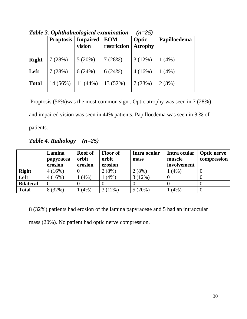|              |                  |                           | Tuble 5. Ophthaimological examination | (Il–4J)                 |              |
|--------------|------------------|---------------------------|---------------------------------------|-------------------------|--------------|
|              | <b>Proptosis</b> | <b>Impaired</b><br>vision | <b>EOM</b><br>restriction             | Optic<br><b>Atrophy</b> | Papilloedema |
| <b>Right</b> | 7(28%)           | $5(20\%)$                 | 7(28%)                                | 3(12%)                  | $1(4\%)$     |
| Left         | 7(28%)           | 6(24%)                    | 6(24%)                                | 4(16%)                  | $1(4\%)$     |
| <b>Total</b> | $14(56\%)$       | 11 $(44%)$                | 13 (52%)                              | 7(28%)                  | 2(8%)        |

*Table 3. Ophthalmological examination (n=25)*

 Proptosis (56%)was the most common sign . Optic atrophy was seen in 7 (28%) and impaired vision was seen in 44% patients. Papilloedema was seen in 8 % of patients.

*Table 4. Radiology (n=25)* 

|                  | Lamina<br>papyracea<br>erosion | <b>Roof of</b><br>orbit<br>erosion | <b>Floor of</b><br>orbit<br>erosion | Intra ocular<br>mass | Intra ocular<br>muscle<br>involvement | <b>Optic nerve</b><br>compression |
|------------------|--------------------------------|------------------------------------|-------------------------------------|----------------------|---------------------------------------|-----------------------------------|
| <b>Right</b>     | 4(16%)                         |                                    | 2(8%)                               | 2(8%)                | 1(4%)                                 |                                   |
| Left             | 4(16%)                         | (4%)                               | (4%)                                | 3(12%)               |                                       |                                   |
| <b>Bilateral</b> |                                |                                    |                                     |                      |                                       |                                   |
| <b>Total</b>     | 8 (32%)                        | (4%)                               | 3(12%)                              | 5(20%)               | $(4\%)$                               |                                   |

8 (32%) patients had erosion of the lamina papyraceae and 5 had an intraocular

mass (20%). No patient had optic nerve compression.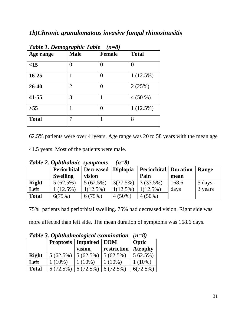## *1b)Chronic granulomatous invasive fungal rhinosinusitis*

| Tubic 1. Demographic Tubic<br>(〃–∪ |                |                |              |  |  |  |
|------------------------------------|----------------|----------------|--------------|--|--|--|
| Age range                          | <b>Male</b>    | <b>Female</b>  | <b>Total</b> |  |  |  |
| <15                                | $\mathcal{O}$  | $\overline{0}$ | 0            |  |  |  |
| $16 - 25$                          |                | 0              | $1(12.5\%)$  |  |  |  |
| 26-40                              | $\overline{2}$ | $\overline{0}$ | 2(25%)       |  |  |  |
| 41-55                              | 3              | 1              | $4(50\%)$    |  |  |  |
| >55                                | 1              | $\theta$       | $1(12.5\%)$  |  |  |  |
| <b>Total</b>                       | 7              |                | 8            |  |  |  |

| Table 1. Demographic Table $(n=8)$ |  |  |
|------------------------------------|--|--|
|------------------------------------|--|--|

62.5% patients were over 41years. Age range was 20 to 58 years with the mean age

41.5 years. Most of the patients were male.

|              | <b>Lable 2. Ophthalmic symptoms</b> |             | $n = \delta$ |                        |       |         |
|--------------|-------------------------------------|-------------|--------------|------------------------|-------|---------|
|              | Periorbital   Decreased   Diplopia  |             |              | Periorbital   Duration |       | Range   |
|              | <b>Swelling</b>                     | vision      |              | Pain                   | mean  |         |
| <b>Right</b> | $5(62.5\%)$                         | $5(62.5\%)$ | 3(37.5%)     | 3(37.5%)               | 168.6 | 5 days- |
| Left         | $1(12.5\%)$                         | $1(12.5\%)$ | $1(12.5\%)$  | $1(12.5\%)$            | days  | 3 years |
| <b>Total</b> | 6(75%)                              | 6(75%)      | $4(50\%)$    | $4(50\%)$              |       |         |

*Table 2. Ophthalmic symptoms (n=8)* 

75% patients had periorbital swelling. 75% had decreased vision. Right side was

more affected than left side. The mean duration of symptoms was 168.6 days.

| Table 5. Ophinalmological examination | $n = o$     |                                   |             |                |
|---------------------------------------|-------------|-----------------------------------|-------------|----------------|
|                                       |             | <b>Proptosis   Impaired   EOM</b> |             | Optic          |
|                                       |             | vision                            | restriction | <b>Atrophy</b> |
| <b>Right</b>                          | $5(62.5\%)$ | $5(62.5\%)$                       | $5(62.5\%)$ | 5 62.5%)       |
| Left                                  | $1(10\%)$   | $1(10\%)$                         | $1(10\%)$   | $1(10\%)$      |
| <b>Total</b>                          | 6(72.5%)    | 6(72.5%)                          | 6(72.5%)    | 6(72.5%)       |

*Table 3. Ophthalmological examination (n=8)*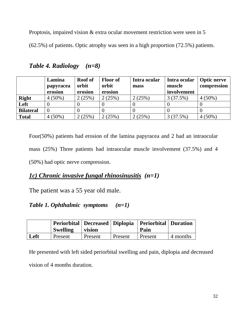Proptosis, impaired vision & extra ocular movement restriction were seen in 5

(62.5%) of patients. Optic atrophy was seen in a high proportion (72.5%) patients.

|                  | Lamina<br>papyracea<br>erosion | <b>Roof</b> of<br>orbit<br>erosion | <b>Floor of</b><br>orbit<br>erosion | Intra ocular<br>mass | Intra ocular<br>muscle<br>involvement | <b>Optic nerve</b><br>compression |
|------------------|--------------------------------|------------------------------------|-------------------------------------|----------------------|---------------------------------------|-----------------------------------|
| <b>Right</b>     | $4(50\%)$                      | 2(25%)                             | 2(25%)                              | 2(25%)               | 3(37.5%)                              | $4(50\%)$                         |
| Left             |                                |                                    |                                     |                      |                                       |                                   |
| <b>Bilateral</b> |                                |                                    |                                     |                      |                                       |                                   |
| <b>Total</b>     | $4(50\%)$                      | 2(25%)                             | 2(25%)                              | 2(25%)               | 3(37.5%)                              | $4(50\%)$                         |

*Table 4. Radiology (n=8)* 

Four(50%) patients had erosion of the lamina papyracea and 2 had an intraocular mass (25%) Three patients had intraocular muscle involvement (37.5%) and 4 (50%) had optic nerve compression.

## *1c) Chronic invasive fungal rhinosinusitis (n=1)*

The patient was a 55 year old male.

## *Table 1. Ophthalmic symptoms (n=1)*

|      | Swelling | vision  |         | Periorbital   Decreased   Diplopia   Periorbital   Duration<br>Pain |          |
|------|----------|---------|---------|---------------------------------------------------------------------|----------|
| Left | Present  | Present | Present | Present                                                             | 4 months |

He presented with left sided periorbital swelling and pain, diplopia and decreased vision of 4 months duration.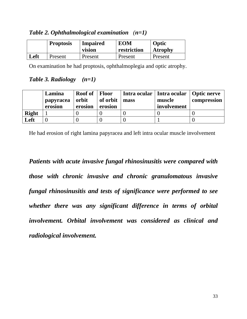*Table 2. Ophthalmological examination (n=1)* 

|      | <b>Proptosis</b> | <b>Impaired</b><br>vision | <b>EOM</b><br>restriction | Optic<br><b>Atrophy</b> |
|------|------------------|---------------------------|---------------------------|-------------------------|
| Left | Present          | Present                   | Present                   | Present                 |

On examination he had proptosis, ophthalmoplegia and optic atrophy.

### *Table 3. Radiology (n=1)*

|              | Lamina<br>papyracea<br>erosion | <b>Roof</b> of<br>orbit<br>erosion | <b>Floor</b><br>of orbit<br>erosion | mass | Intra ocular   Intra ocular<br>muscle<br>involvement | Optic nerve<br>compression |
|--------------|--------------------------------|------------------------------------|-------------------------------------|------|------------------------------------------------------|----------------------------|
| <b>Right</b> |                                |                                    |                                     |      |                                                      |                            |
| Left         |                                |                                    |                                     |      |                                                      |                            |

He had erosion of right lamina papyracea and left intra ocular muscle involvement

*Patients with acute invasive fungal rhinosinusitis were compared with those with chronic invasive and chronic granulomatous invasive fungal rhinosinusitis and tests of significance were performed to see whether there was any significant difference in terms of orbital involvement. Orbital involvement was considered as clinical and radiological involvement.*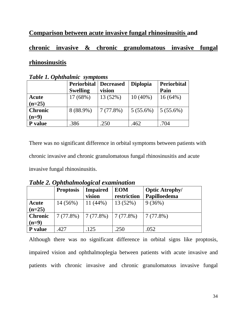## **Comparison between acute invasive fungal rhinosinusitis and**

## **chronic invasive & chronic granulomatous invasive fungal**

## **rhinosinusitis**

| $\sim$ wore in opportunities by the control |                    |           |                 |             |  |  |  |
|---------------------------------------------|--------------------|-----------|-----------------|-------------|--|--|--|
|                                             | <b>Periorbital</b> | Decreased | <b>Diplopia</b> | Periorbital |  |  |  |
|                                             | <b>Swelling</b>    | vision    |                 | Pain        |  |  |  |
| Acute                                       | 17(68%)            | 13 (52%)  | $10(40\%)$      | $16(64\%)$  |  |  |  |
| $(n=25)$                                    |                    |           |                 |             |  |  |  |
| <b>Chronic</b>                              | 8 (88.9%)          | 7(77.8%)  | $5(55.6\%)$     | $5(55.6\%)$ |  |  |  |
| $(n=9)$                                     |                    |           |                 |             |  |  |  |
| P value                                     | .386               | .250      | .462            | .704        |  |  |  |

*Table 1. Ophthalmic symptoms*

There was no significant difference in orbital symptoms between patients with chronic invasive and chronic granulomatous fungal rhinosinusitis and acute invasive fungal rhinosinusitis.

*Table 2. Ophthalmological examination* 

|                | <b>Proptosis</b> | <b>Impaired</b> | <b>EOM</b>       | <b>Optic Atrophy/</b> |
|----------------|------------------|-----------------|------------------|-----------------------|
|                |                  | vision          | restriction      | Papilloedema          |
| Acute          | 14 (56%)         | 11 $(44\%)$     | 13 (52%)         | 9(36%)                |
| $(n=25)$       |                  |                 |                  |                       |
| <b>Chronic</b> | 7(77.8%)         | 7(77.8%)        | $\mid$ 7 (77.8%) | 7(77.8%)              |
| $(n=9)$        |                  |                 |                  |                       |
| <b>P</b> value | .427             | 125             | .250             | .052                  |

Although there was no significant difference in orbital signs like proptosis, impaired vision and ophthalmoplegia between patients with acute invasive and patients with chronic invasive and chronic granulomatous invasive fungal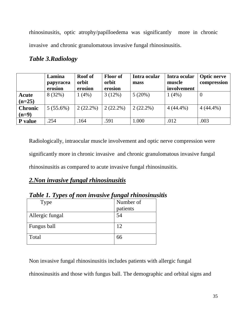rhinosinusitis, optic atrophy/papilloedema was significantly more in chronic invasive and chronic granulomatous invasive fungal rhinosinusitis.

|                           | Lamina<br>papyracea<br>erosion | <b>Roof</b> of<br>orbit<br>erosion | <b>Floor of</b><br>orbit<br>erosion | Intra ocular<br>mass | Intra ocular<br>muscle<br>involvement | <b>Optic nerve</b><br>compression |
|---------------------------|--------------------------------|------------------------------------|-------------------------------------|----------------------|---------------------------------------|-----------------------------------|
| Acute<br>$(n=25)$         | 8 (32%)                        | $1(4\%)$                           | 3(12%)                              | 5(20%)               | $1(4\%)$                              | 0                                 |
| <b>Chronic</b><br>$(n=9)$ | $5(55.6\%)$                    | $2(22.2\%)$                        | $2(22.2\%)$                         | $2(22.2\%)$          | $4(44.4\%)$                           | $4(44.4\%)$                       |
| P value                   | .254                           | .164                               | .591                                | 1.000                | .012                                  | .003                              |

## *Table 3.Radiology*

Radiologically, intraocular muscle involvement and optic nerve compression were significantly more in chronic invasive and chronic granulomatous invasive fungal rhinosinusitis as compared to acute invasive fungal rhinosinusitis.

## *2.Non invasive fungal rhinosinusitis*

| Tubic 1. Types of non invasive fungui minosinus |           |
|-------------------------------------------------|-----------|
| Type                                            | Number of |
|                                                 | patients  |
| Allergic fungal                                 | 54        |
| Fungus ball                                     | 12        |
| Total                                           | 66        |

*Table 1. Types of non invasive fungal rhinosinusitis* 

Non invasive fungal rhinosinusitis includes patients with allergic fungal

rhinosinusitis and those with fungus ball. The demographic and orbital signs and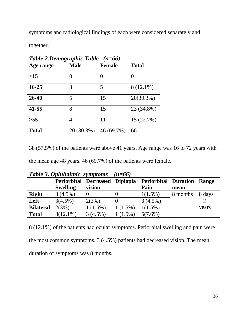symptoms and radiological findings of each were considered separately and

together.

| $\cdots$ $\cdots$ |             |                |              |  |  |  |  |
|-------------------|-------------|----------------|--------------|--|--|--|--|
| Age range         | <b>Male</b> | <b>Female</b>  | <b>Total</b> |  |  |  |  |
| <15               | 0           | $\overline{0}$ | 0            |  |  |  |  |
| $16 - 25$         | 3           | 5              | 8 (12.1%)    |  |  |  |  |
| 26-40             | 5           | 15             | 20(30.3%)    |  |  |  |  |
| $41 - 55$         | 8           | 15             | 23 (34.8%)   |  |  |  |  |
| >55               | 4           | 11             | 15 (22.7%)   |  |  |  |  |
| <b>Total</b>      | 20 (30.3%)  | 46 (69.7%)     | 66           |  |  |  |  |

*Table 2.Demographic Table (n=66)*

38 (57.5%) of the patients were above 41 years. Age range was 16 to 72 years with

the mean age 48 years. 46 (69.7%) of the patients were female.

|                  | $\sim$ wore of optimized by the control |                    |            |                               |          |        |
|------------------|-----------------------------------------|--------------------|------------|-------------------------------|----------|--------|
|                  | <b>Periorbital</b>                      | Decreased Diplopia |            | <b>Periorbital   Duration</b> |          | Range  |
|                  | <b>Swelling</b>                         | vision             |            | Pain                          | mean     |        |
| <b>Right</b>     | $3(4.5\%)$                              |                    |            | $1(1.5\%)$                    | 8 months | 8 days |
| Left             | $3(4.5\%)$                              | 2(3%)              |            | $3(4.5\%)$                    |          | $-2$   |
| <b>Bilateral</b> | 2(3%)                                   | $1(1.5\%)$         | $1(1.5\%)$ | $1(1.5\%)$                    |          | years  |
| <b>Total</b>     | $8(12.1\%)$                             | 3(4.5%)            | $(1.5\%)$  | $5(7.6\%)$                    |          |        |

*Table 3. Ophthalmic symptoms (n=66)* 

8 (12.1%) of the patients had ocular symptoms. Periorbital swelling and pain were the most common symptoms. 3 (4.5%) patients had decreased vision. The mean duration of symptoms was 8 months.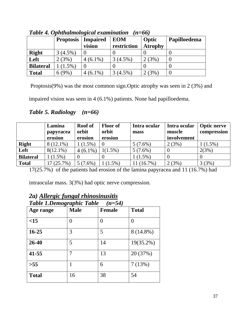| $\sim$ wo ve in opinion and to give the entries of $\sim$ |                  |                           |                           |                         |              |  |  |
|-----------------------------------------------------------|------------------|---------------------------|---------------------------|-------------------------|--------------|--|--|
|                                                           | <b>Proptosis</b> | <b>Impaired</b><br>vision | <b>EOM</b><br>restriction | Optic<br><b>Atrophy</b> | Papilloedema |  |  |
| <b>Right</b>                                              | $3(4.5\%)$       |                           |                           |                         |              |  |  |
| Left                                                      | 2(3%)            | $4(6.1\%)$                | $(4.5\%)$                 | $(3\%)$                 |              |  |  |
| <b>Bilateral</b>                                          | $(1.5\%)$        |                           |                           |                         |              |  |  |
| <b>Total</b>                                              | 6(9%)            | $(6.1\%)$                 | $(4.5\%)$                 | $(3\%)$                 |              |  |  |

*Table 4. Ophthalmological examination (n=66)*

Proptosis(9%) was the most common sign.Optic atrophy was seen in 2 (3%) and

impaired vision was seen in 4 (6.1%) patients. None had papilloedema.

*Table 5. Radiology (n=66)*

|                  | Lamina<br>papyracea | <b>Roof</b> of<br>orbit | <b>Floor of</b><br>orbit | Intra ocular<br>mass | Intra ocular<br>muscle | <b>Optic nerve</b><br>compression |
|------------------|---------------------|-------------------------|--------------------------|----------------------|------------------------|-----------------------------------|
|                  | erosion             | erosion                 | erosion                  |                      | involvement            |                                   |
| <b>Right</b>     | $8(12.1\%)$         | $1(1.5\%)$              | $\theta$                 | $5(7.6\%)$           | 2(3%)                  | $1(1.5\%)$                        |
| Left             | $8(12.1\%)$         | $4(6.1\%)$              | $1(1.5\%)$               | $5(7.6\%)$           |                        | 2(3%)                             |
| <b>Bilateral</b> | $1(1.5\%)$          |                         |                          | $1(1.5\%)$           |                        |                                   |
| <b>Total</b>     | 17(25.7%)           | $5(7.6\%)$              | $(1.5\%)$                | 11(16.7%)            | 2(3%)                  | 3(3%)                             |

17(25.7%) of the patients had erosion of the lamina papyracea and 11 (16.7%) had

intraocular mass. 3(3%) had optic nerve compression.

| <b>Table 1.Demographic Table</b><br>$(n=54)$ |             |                  |                |  |  |  |  |
|----------------------------------------------|-------------|------------------|----------------|--|--|--|--|
| Age range                                    | <b>Male</b> | <b>Female</b>    | <b>Total</b>   |  |  |  |  |
| <15                                          | 0           | $\left( \right)$ | $\overline{0}$ |  |  |  |  |
| $16 - 25$                                    | 3           | 5                | 8 (14.8%)      |  |  |  |  |
| 26-40                                        | 5           | 14               | $19(35.2\%)$   |  |  |  |  |
| 41-55                                        | 7           | 13               | 20 (37%)       |  |  |  |  |
| >55                                          | 1           | 6                | 7(13%)         |  |  |  |  |
| <b>Total</b>                                 | 16          | 38               | 54             |  |  |  |  |

## *2a) Allergic fungal rhinosinusitis*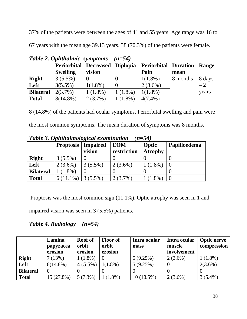37% of the patients were between the ages of 41 and 55 years. Age range was 16 to

67 years with the mean age 39.13 years. 38 (70.3%) of the patients were female.

|                  | $\sim$ word $\sim$ optimization by the rotation |                      |           |                               |          |        |
|------------------|-------------------------------------------------|----------------------|-----------|-------------------------------|----------|--------|
|                  | <b>Periorbital</b>                              | Decreased   Diplopia |           | <b>Periorbital   Duration</b> |          | Range  |
|                  | <b>Swelling</b>                                 | vision               |           | Pain                          | mean     |        |
| <b>Right</b>     | $3(5.5\%)$                                      |                      |           | $1(1.8\%)$                    | 8 months | 8 days |
| Left             | $3(5.5\%)$                                      | $1(1.8\%)$           |           | $2(3.6\%)$                    |          | $-2$   |
| <b>Bilateral</b> | $2(3.7\%)$                                      | $(1.8\%)$            | $(1.8\%)$ | $1(1.8\%)$                    |          | years  |
| <b>Total</b>     | $8(14.8\%)$                                     | $2(3.7\%)$           | $(1.8\%)$ | $4(7.4\%)$                    |          |        |

*Table 2. Ophthalmic symptoms (n=54)* 

8 (14.8%) of the patients had ocular symptoms. Periorbital swelling and pain were

| the most common symptoms. The mean duration of symptoms was 8 months. |  |  |  |
|-----------------------------------------------------------------------|--|--|--|
|-----------------------------------------------------------------------|--|--|--|

| $=$ $\cdots$ $\cdots$ $\cdots$ $\cdots$ $\cdots$ $\cdots$ $\cdots$ $\cdots$ $\cdots$ $\cdots$ $\cdots$ $\cdots$ |                  |                           |                           |                         |              |  |  |
|-----------------------------------------------------------------------------------------------------------------|------------------|---------------------------|---------------------------|-------------------------|--------------|--|--|
|                                                                                                                 | <b>Proptosis</b> | <b>Impaired</b><br>vision | <b>EOM</b><br>restriction | Optic<br><b>Atrophy</b> | Papilloedema |  |  |
| <b>Right</b>                                                                                                    | $3(5.5\%)$       |                           |                           |                         |              |  |  |
| Left                                                                                                            | $2(3.6\%)$       | $3(5.5\%)$                | $2(3.6\%)$                | $(1.8\%)$               |              |  |  |
| <b>Bilateral</b>                                                                                                | $(1.8\%)$        |                           |                           |                         |              |  |  |
| <b>Total</b>                                                                                                    | $6(11.1\%)$      | $3(5.5\%)$                | $2(3.7\%)$                | $(1.8\%)$               |              |  |  |

*Table 3. Ophthalmological examination (n=54)*

 Proptosis was the most common sign (11.1%). Optic atrophy was seen in 1 and impaired vision was seen in 3 (5.5%) patients.

## *Table 4. Radiology (n=54)*

|                  | Lamina      | <b>Roof</b> of | <b>Floor of</b> | Intra ocular | Intra ocular | <b>Optic nerve</b> |
|------------------|-------------|----------------|-----------------|--------------|--------------|--------------------|
|                  | papyracea   | orbit          | orbit           | mass         | muscle       | compression        |
|                  | erosion     | erosion        | erosion         |              | involvement  |                    |
| <b>Right</b>     | 7(13%)      | $1(1.8\%)$     |                 | 5(9.25%)     | $2(3.6\%)$   | $1(1.8\%)$         |
| Left             | $8(14.8\%)$ | $4(5.5\%)$     | $1(1.8\%)$      | 5(9.25%)     |              | $2(3.6\%)$         |
| <b>Bilateral</b> |             |                |                 |              |              |                    |
| <b>Total</b>     | 15 (27.8%)  | $5(7.3\%)$     | $1(1.8\%)$      | $10(18.5\%)$ | $2(3.6\%)$   | $3(5.4\%)$         |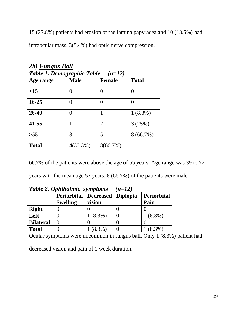15 (27.8%) patients had erosion of the lamina papyracea and 10 (18.5%) had intraocular mass. 3(5.4%) had optic nerve compression.

| Table 1. Demographic Table<br>$(n=12)$ |                  |                |              |  |  |  |  |
|----------------------------------------|------------------|----------------|--------------|--|--|--|--|
| Age range                              | <b>Male</b>      | <b>Female</b>  | <b>Total</b> |  |  |  |  |
| <15                                    | 0                | 0              | 0            |  |  |  |  |
| $16 - 25$                              | $\mathbf{0}$     | 0              | 0            |  |  |  |  |
| 26-40                                  | $\left( \right)$ | 1              | $1(8.3\%)$   |  |  |  |  |
| 41-55                                  | 1                | $\overline{2}$ | 3(25%)       |  |  |  |  |
| >55                                    | 3                | 5              | $8(66.7\%)$  |  |  |  |  |
| <b>Total</b>                           | 4(33.3%)         | 8(66.7%)       |              |  |  |  |  |

*2b) Fungus Ball* 

66.7% of the patients were above the age of 55 years. Age range was 39 to 72

years with the mean age 57 years. 8 (66.7%) of the patients were male.

|                  | <b>Lable 2. Ophthalmic symptoms</b> |           | $(n=12)$ |             |  |
|------------------|-------------------------------------|-----------|----------|-------------|--|
|                  | <b>Periorbital   Decreased</b>      |           | Diplopia | Periorbital |  |
|                  | <b>Swelling</b>                     | vision    |          | Pain        |  |
| <b>Right</b>     |                                     |           |          |             |  |
| Left             |                                     | $(8.3\%)$ |          | $(8.3\%)$   |  |
| <b>Bilateral</b> |                                     |           |          |             |  |
| <b>Total</b>     |                                     | $(8.3\%)$ |          | $(8.3\%)$   |  |

 $T$   $Q$   $L1$   $L1$   $L2$ 

Ocular symptoms were uncommon in fungus ball. Only 1 (8.3%) patient had

decreased vision and pain of 1 week duration.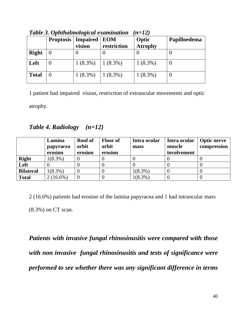|              | <b>Proptosis</b> | <b>Impaired</b><br>vision | <b>EOM</b><br>restriction | Optic<br><b>Atrophy</b> | Papilloedema |
|--------------|------------------|---------------------------|---------------------------|-------------------------|--------------|
| <b>Right</b> |                  |                           |                           |                         |              |
| Left         |                  | $1(8.3\%)$                | $ 1(8.3\%)$               | $1(8.3\%)$              | $\theta$     |
| <b>Total</b> |                  | $1(8.3\%)$                | $1(8.3\%)$                | $1(8.3\%)$              | $\theta$     |

*Table 3. Ophthalmological examination (n=12)*

1 patient had impaired vision, restriction of extraocular movements and optic

atrophy.

*Table 4. Radiology (n=12)* 

|                  | Lamina<br>papyracea<br>erosion | <b>Roof</b> of<br>orbit<br>erosion | <b>Floor of</b><br>orbit<br>erosion | Intra ocular<br>mass | Intra ocular<br>muscle<br>involvement | Optic nerve<br>compression |
|------------------|--------------------------------|------------------------------------|-------------------------------------|----------------------|---------------------------------------|----------------------------|
| <b>Right</b>     | $1(8.3\%)$                     |                                    |                                     |                      |                                       |                            |
| Left             |                                |                                    |                                     |                      |                                       |                            |
| <b>Bilateral</b> | $1(8.3\%)$                     |                                    |                                     | $1(8.3\%)$           |                                       |                            |
| <b>Total</b>     | $2(16.6\%)$                    |                                    |                                     | $1(8.3\%)$           |                                       |                            |

2 (16.6%) patients had erosion of the lamina papyracea and 1 had intraocular mass (8.3%) on CT scan.

*Patients with invasive fungal rhinosinusitis were compared with those with non invasive fungal rhinosinusitis and tests of significance were performed to see whether there was any significant difference in terms*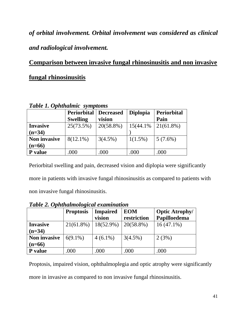*of orbital involvement. Orbital involvement was considered as clinical and radiological involvement.* 

**Comparison between invasive fungal rhinosinusitis and non invasive fungal rhinosinusitis** 

| <b>Table 1. Ophthalmic symptoms</b> |                    |            |                 |                    |  |  |  |
|-------------------------------------|--------------------|------------|-----------------|--------------------|--|--|--|
|                                     | <b>Periorbital</b> | Decreased  | <b>Diplopia</b> | <b>Periorbital</b> |  |  |  |
|                                     | <b>Swelling</b>    | vision     |                 | Pain               |  |  |  |
| <b>Invasive</b>                     | 25(73.5%)          | 20(58.8%)  | 15(44.1%)       | $21(61.8\%)$       |  |  |  |
| $(n=34)$                            |                    |            |                 |                    |  |  |  |
| <b>Non invasive</b>                 | $8(12.1\%)$        | $3(4.5\%)$ | $1(1.5\%)$      | $5(7.6\%)$         |  |  |  |
| $(n=66)$                            |                    |            |                 |                    |  |  |  |
| P value                             | .000               | .000       | .000            | .000               |  |  |  |

Periorbital swelling and pain, decreased vision and diplopia were significantly more in patients with invasive fungal rhinosinusitis as compared to patients with non invasive fungal rhinosinusitis.

 **Proptosis Impaired vision EOM restriction Optic Atrophy/ Papilloedema Invasive (n=34)**   $21(61.8\%)$  |  $18(52.9\%)$  |  $20(58.8\%)$  | 16 (47.1%) **Non invasive (n=66)**  6(9.1%)  $\begin{array}{|l|l|} \hline 4 & (6.1\%) & (3(4.5\%) & (2(3\%) \end{array}$ **P** value  $.000$  .000 .000 .000

*Table 2. Ophthalmological examination* 

Proptosis, impaired vision, ophthalmoplegia and optic atrophy were significantly

more in invasive as compared to non invasive fungal rhinosinusitis.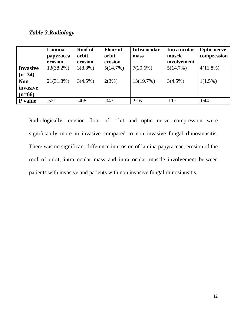### *Table 3.Radiology*

|                 | Lamina<br>papyracea<br>erosion | <b>Roof</b> of<br>orbit<br>erosion | <b>Floor of</b><br>orbit<br>erosion | Intra ocular<br>mass | Intra ocular<br>muscle<br>involvement | <b>Optic nerve</b><br>compression |
|-----------------|--------------------------------|------------------------------------|-------------------------------------|----------------------|---------------------------------------|-----------------------------------|
| <b>Invasive</b> | 13(38.2%)                      | $3(8.8\%)$                         | 5(14.7%)                            | $7(20.6\%)$          | 5(14.7%)                              | $4(11.8\%)$                       |
| $(n=34)$        |                                |                                    |                                     |                      |                                       |                                   |
| <b>Non</b>      | $21(31.8\%)$                   | $3(4.5\%)$                         | 2(3%)                               | 13(19.7%)            | $3(4.5\%)$                            | $1(1.5\%)$                        |
| invasive        |                                |                                    |                                     |                      |                                       |                                   |
| $(n=66)$        |                                |                                    |                                     |                      |                                       |                                   |
| P value         | .521                           | .406                               | .043                                | .916                 | .117                                  | .044                              |

Radiologically, erosion floor of orbit and optic nerve compression were significantly more in invasive compared to non invasive fungal rhinosinusitis. There was no significant difference in erosion of lamina papyraceae, erosion of the roof of orbit, intra ocular mass and intra ocular muscle involvement between patients with invasive and patients with non invasive fungal rhinosinusitis.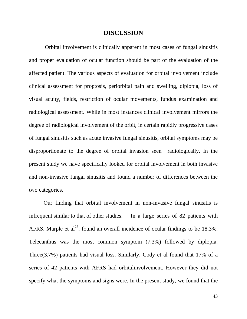#### **DISCUSSION**

 Orbital involvement is clinically apparent in most cases of fungal sinusitis and proper evaluation of ocular function should be part of the evaluation of the affected patient. The various aspects of evaluation for orbital involvement include clinical assessment for proptosis, periorbital pain and swelling, diplopia, loss of visual acuity, fields, restriction of ocular movements, fundus examination and radiological assessment. While in most instances clinical involvement mirrors the degree of radiological involvement of the orbit, in certain rapidly progressive cases of fungal sinusitis such as acute invasive fungal sinusitis, orbital symptoms may be disproportionate to the degree of orbital invasion seen radiologically. In the present study we have specifically looked for orbital involvement in both invasive and non-invasive fungal sinusitis and found a number of differences between the two categories.

 Our finding that orbital involvement in non-invasive fungal sinusitis is infrequent similar to that of other studies. In a large series of 82 patients with AFRS, Marple et al<sup>26</sup>, found an overall incidence of ocular findings to be 18.3%. Telecanthus was the most common symptom (7.3%) followed by diplopia. Three(3.7%) patients had visual loss. Similarly, Cody et al found that 17% of a series of 42 patients with AFRS had orbitalinvolvement. However they did not specify what the symptoms and signs were. In the present study, we found that the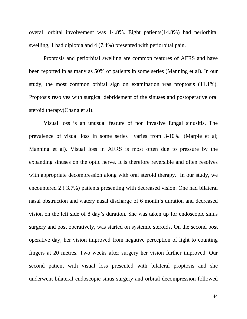overall orbital involvement was 14.8%. Eight patients(14.8%) had periorbital swelling, 1 had diplopia and 4 (7.4%) presented with periorbital pain.

 Proptosis and periorbital swelling are common features of AFRS and have been reported in as many as 50% of patients in some series (Manning et al). In our study, the most common orbital sign on examination was proptosis (11.1%). Proptosis resolves with surgical debridement of the sinuses and postoperative oral steroid therapy(Chang et al).

 Visual loss is an unusual feature of non invasive fungal sinusitis. The prevalence of visual loss in some series varies from 3-10%. (Marple et al; Manning et al). Visual loss in AFRS is most often due to pressure by the expanding sinuses on the optic nerve. It is therefore reversible and often resolves with appropriate decompression along with oral steroid therapy. In our study, we encountered 2 ( 3.7%) patients presenting with decreased vision. One had bilateral nasal obstruction and watery nasal discharge of 6 month's duration and decreased vision on the left side of 8 day's duration. She was taken up for endoscopic sinus surgery and post operatively, was started on systemic steroids. On the second post operative day, her vision improved from negative perception of light to counting fingers at 20 metres. Two weeks after surgery her vision further improved. Our second patient with visual loss presented with bilateral proptosis and she underwent bilateral endoscopic sinus surgery and orbital decompression followed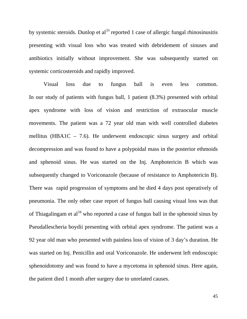by systemic steroids. Dunlop et  $al^{33}$  reported 1 case of allergic fungal rhinosinusitis presenting with visual loss who was treated with debridement of sinuses and antibiotics initially without improvement. She was subsequently started on systemic corticosteroids and rapidly improved.

 Visual loss due to fungus ball is even less common. In our study of patients with fungus ball, 1 patient (8.3%) presented with orbital apex syndrome with loss of vision and restriction of extraocular muscle movements. The patient was a 72 year old man with well controlled diabetes mellitus (HBA1C – 7.6). He underwent endoscopic sinus surgery and orbital decompression and was found to have a polypoidal mass in the posterior ethmoids and sphenoid sinus. He was started on the Inj. Amphotericin B which was subsequently changed to Voriconazole (because of resistance to Amphotericin B). There was rapid progression of symptoms and he died 4 days post operatively of pneumonia. The only other case report of fungus ball causing visual loss was that of Thiagalingam et al<sup>34</sup> who reported a case of fungus ball in the sphenoid sinus by Pseudallescheria boydii presenting with orbital apex syndrome. The patient was a 92 year old man who presented with painless loss of vision of 3 day's duration. He was started on Inj. Penicillin and oral Voriconazole. He underwent left endoscopic sphenoidotomy and was found to have a mycetoma in sphenoid sinus. Here again, the patient died 1 month after surgery due to unrelated causes.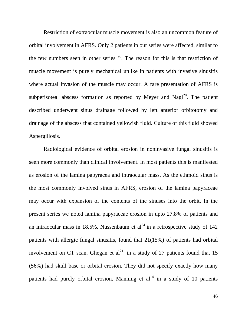Restriction of extraocular muscle movement is also an uncommon feature of orbital involvement in AFRS. Only 2 patients in our series were affected, similar to the few numbers seen in other series  $26$ . The reason for this is that restriction of muscle movement is purely mechanical unlike in patients with invasive sinusitis where actual invasion of the muscle may occur. A rare presentation of AFRS is subperisoteal abscess formation as reported by Meyer and Nagi<sup>20</sup>. The patient described underwent sinus drainage followed by left anterior orbitotomy and drainage of the abscess that contained yellowish fluid. Culture of this fluid showed Aspergillosis.

 Radiological evidence of orbital erosion in noninvasive fungal sinusitis is seen more commonly than clinical involvement. In most patients this is manifested as erosion of the lamina papyracea and intraocular mass. As the ethmoid sinus is the most commonly involved sinus in AFRS, erosion of the lamina papyraceae may occur with expansion of the contents of the sinuses into the orbit. In the present series we noted lamina papyraceae erosion in upto 27.8% of patients and an intraocular mass in 18.5%. Nussenbaum et  $al^{24}$  in a retrospective study of 142 patients with allergic fungal sinusitis, found that 21(15%) of patients had orbital involvement on CT scan. Ghegan et  $al^{21}$  in a study of 27 patients found that 15 (56%) had skull base or orbital erosion. They did not specify exactly how many patients had purely orbital erosion. Manning et  $al<sup>14</sup>$  in a study of 10 patients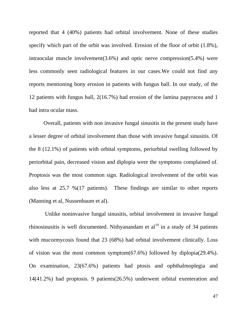reported that 4 (40%) patients had orbital involvement. None of these studies specify which part of the orbit was involved. Erosion of the floor of orbit (1.8%), intraocular muscle involvement(3.6%) and optic nerve compression(5.4%) were less commonly seen radiological features in our cases.We could not find any reports mentioning bony erosion in patients with fungus ball. In our study, of the 12 patients with fungus ball, 2(16.7%) had erosion of the lamina papyracea and 1 had intra ocular mass.

 Overall, patients with non invasive fungal sinusitis in the present study have a lesser degree of orbital involvement than those with invasive fungal sinusitis. Of the 8 (12.1%) of patients with orbital symptoms, periorbital swelling followed by periorbital pain, decreased vision and diplopia were the symptoms complained of. Proptosis was the most common sign. Radiological involvement of the orbit was also less at 25.7 %(17 patients). These findings are similar to other reports (Manning et al, Nussenbaum et al).

 Unlike noninvasive fungal sinusitis, orbital involvement in invasive fungal rhinosinusitis is well documented. Nithyanandam et  $al<sup>19</sup>$  in a study of 34 patients with mucormycosis found that 23 (68%) had orbital involvement clinically. Loss of vision was the most common symptom(67.6%) followed by diplopia(29.4%). On examination, 23(67.6%) patients had ptosis and ophthalmoplegia and 14(41.2%) had proptosis. 9 patients(26.5%) underwent orbital exenteration and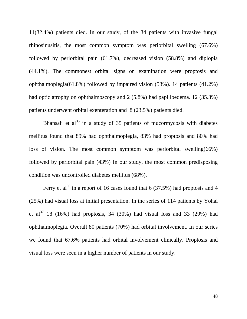11(32.4%) patients died. In our study, of the 34 patients with invasive fungal rhinosinusitis, the most common symptom was periorbital swelling (67.6%) followed by periorbital pain (61.7%), decreased vision (58.8%) and diplopia (44.1%). The commonest orbital signs on examination were proptosis and ophthalmoplegia(61.8%) followed by impaired vision (53%). 14 patients (41.2%) had optic atrophy on ophthalmoscopy and 2 (5.8%) had papilloedema. 12 (35.3%) patients underwent orbital exenteration and 8 (23.5%) patients died.

Bhansali et al<sup>35</sup> in a study of 35 patients of mucormycosis with diabetes mellitus found that 89% had ophthalmoplegia, 83% had proptosis and 80% had loss of vision. The most common symptom was periorbital swelling(66%) followed by periorbital pain (43%) In our study, the most common predisposing condition was uncontrolled diabetes mellitus (68%).

Ferry et al<sup>36</sup> in a report of 16 cases found that 6 (37.5%) had proptosis and 4 (25%) had visual loss at initial presentation. In the series of 114 patients by Yohai et al<sup>37</sup> 18 (16%) had proptosis, 34 (30%) had visual loss and 33 (29%) had ophthalmoplegia. Overall 80 patients (70%) had orbital involvement. In our series we found that 67.6% patients had orbital involvement clinically. Proptosis and visual loss were seen in a higher number of patients in our study.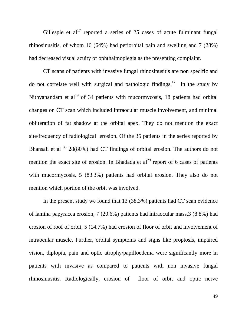Gillespie et  $al^{17}$  reported a series of 25 cases of acute fulminant fungal rhinosinusitis, of whom 16 (64%) had periorbital pain and swelling and 7 (28%) had decreased visual acuity or ophthalmoplegia as the presenting complaint.

 CT scans of patients with invasive fungal rhinosinusitis are non specific and do not correlate well with surgical and pathologic findings.<sup>17</sup> In the study by Nithyanandam et al<sup>19</sup> of 34 patients with mucormycosis, 18 patients had orbital changes on CT scan which included intraocular muscle involvement, and minimal obliteration of fat shadow at the orbital apex. They do not mention the exact site/frequency of radiological erosion. Of the 35 patients in the series reported by Bhansali et al  $35$  28(80%) had CT findings of orbital erosion. The authors do not mention the exact site of erosion. In Bhadada et  $al^{29}$  report of 6 cases of patients with mucormycosis, 5 (83.3%) patients had orbital erosion. They also do not mention which portion of the orbit was involved.

 In the present study we found that 13 (38.3%) patients had CT scan evidence of lamina papyracea erosion, 7 (20.6%) patients had intraocular mass,3 (8.8%) had erosion of roof of orbit, 5 (14.7%) had erosion of floor of orbit and involvement of intraocular muscle. Further, orbital symptoms and signs like proptosis, impaired vision, diplopia, pain and optic atrophy/papilloedema were significantly more in patients with invasive as compared to patients with non invasive fungal rhinosinusitis. Radiologically, erosion of floor of orbit and optic nerve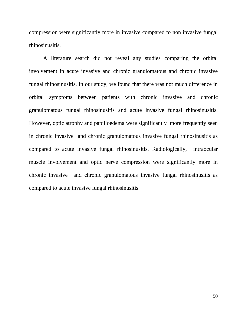compression were significantly more in invasive compared to non invasive fungal rhinosinusitis.

 A literature search did not reveal any studies comparing the orbital involvement in acute invasive and chronic granulomatous and chronic invasive fungal rhinosinusitis. In our study, we found that there was not much difference in orbital symptoms between patients with chronic invasive and chronic granulomatous fungal rhinosinusitis and acute invasive fungal rhinosinusitis. However, optic atrophy and papilloedema were significantly more frequently seen in chronic invasive and chronic granulomatous invasive fungal rhinosinusitis as compared to acute invasive fungal rhinosinusitis. Radiologically, intraocular muscle involvement and optic nerve compression were significantly more in chronic invasive and chronic granulomatous invasive fungal rhinosinusitis as compared to acute invasive fungal rhinosinusitis.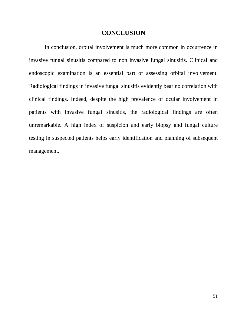## **CONCLUSION**

 In conclusion, orbital involvement is much more common in occurrence in invasive fungal sinusitis compared to non invasive fungal sinusitis. Clinical and endoscopic examination is an essential part of assessing orbital involvement. Radiological findings in invasive fungal sinusitis evidently bear no correlation with clinical findings. Indeed, despite the high prevalence of ocular involvement in patients with invasive fungal sinusitis, the radiological findings are often unremarkable. A high index of suspicion and early biopsy and fungal culture testing in suspected patients helps early identification and planning of subsequent management.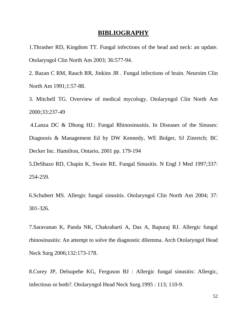#### **BIBLIOGRAPHY**

1.Thrasher RD, Kingdom TT. Fungal infections of the head and neck: an update. Otolaryngol Clin North Am 2003; 36:577-94.

2. Bazan C RM, Rauch RR, Jinkins JR . Fungal infections of brain. Neuroim Clin North Am 1991;1:57-88.

3. Mitchell TG. Overview of medical mycology. Otolaryngol Clin North Am 2000;33:237-49

 4.Lanza DC & Dhong HJ.: Fungal Rhinosinusitis. In Diseases of the Sinuses: Diagnosis & Management Ed by DW Kennedy, WE Bolger, SJ Zinreich; BC Decker Inc. Hamilton, Ontario, 2001 pp. 179-194

5.DeShazo RD, Chapin K, Swain RE. Fungal Sinusitis. N Engl J Med 1997;337: 254-259.

6.Schubert MS. Allergic fungal sinusitis. Otolaryngol Clin North Am 2004; 37: 301-326.

7.Saravanan K, Panda NK, Chakrabarti A, Das A, Bapuraj RJ. Allergic fungal rhinosinusitis: An attempt to solve the diagnostic dilemma. Arch Otolaryngol Head Neck Surg 2006;132:173-178.

8.Corey JP, Delsupehe KG, Ferguson BJ : Allergic fungal sinusitis: Allergic, infectious or both?. Otolaryngol Head Neck Surg.1995 : 113; 110-9.

52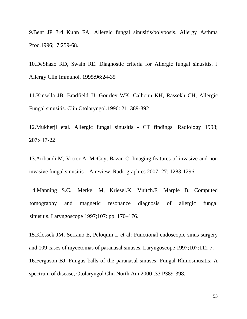9.Bent JP 3rd Kuhn FA. Allergic fungal sinusitis/polyposis. Allergy Asthma Proc.1996;17:259-68.

10.DeShazo RD, Swain RE. Diagnostic criteria for Allergic fungal sinusitis. J Allergy Clin Immunol. 1995;96:24-35

11.Kinsella JB, Bradfield JJ, Gourley WK, Calhoun KH, Rassekh CH, Allergic Fungal sinusitis. Clin Otolaryngol.1996: 21: 389-392

12.Mukherji etal. Allergic fungal sinusitis - CT findings. Radiology 1998; 207:417-22

13.Aribandi M, Victor A, McCoy, Bazan C. Imaging features of invasive and non invasive fungal sinusitis – A review. Radiographics 2007; 27: 1283-1296.

14.Manning S.C., Merkel M, Kriesel.K, Vuitch.F, Marple B. Computed tomography and magnetic resonance diagnosis of allergic fungal sinusitis. Laryngoscope 1997;107: pp. 170–176.

15.Klossek JM, Serrano E, Peloquin L et al: Functional endoscopic sinus surgery and 109 cases of mycetomas of paranasal sinuses. Laryngoscope 1997;107:112-7. 16.Ferguson BJ. Fungus balls of the paranasal sinuses; Fungal Rhinosinusitis: A spectrum of disease, Otolaryngol Clin North Am 2000 ;33 P389-398.

53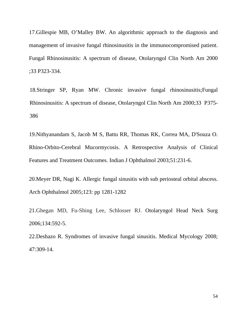17.Gillespie MB, O'Malley BW. An algorithmic approach to the diagnosis and management of invasive fungal rhinosinusitis in the immunocompromised patient. Fungal Rhinosinusitis: A spectrum of disease, Otolaryngol Clin North Am 2000 ;33 P323-334.

18.Stringer SP, Ryan MW. Chronic invasive fungal rhinosinusitis;Fungal Rhinosinusitis: A spectrum of disease, Otolaryngol Clin North Am 2000;33 P375- 386

19.Nithyanandam S, Jacob M S, Battu RR, Thomas RK, Correa MA, D'Souza O. Rhino-Orbito-Cerebral Mucormycosis. A Retrospective Analysis of Clinical Features and Treatment Outcomes. Indian J Ophthalmol 2003;51:231-6.

20.Meyer DR, Nagi K. Allergic fungal sinusitis with sub periosteal orbital abscess. Arch Ophthalmol 2005;123: pp 1281-1282

21.Ghegan MD, Fu-Shing Lee, Schlosser RJ. Otolaryngol Head Neck Surg 2006;134:592-5.

22.Deshazo R. Syndromes of invasive fungal sinusitis. Medical Mycology 2008; 47:309-14.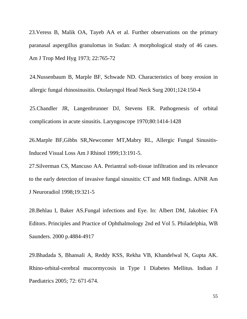23.Veress B, Malik OA, Tayeb AA et al. Further observations on the primary paranasal aspergillus granulomas in Sudan: A morphological study of 46 cases. Am J Trop Med Hyg 1973; 22:765-72

24.Nussenbaum B, Marple BF, Schwade ND. Characteristics of bony erosion in allergic fungal rhinosinusitis. Otolaryngol Head Neck Surg 2001;124:150-4

25.Chandler JR, Langenbrunner DJ, Stevens ER. Pathogenesis of orbital complications in acute sinusitis. Laryngoscope 1970;80:1414-1428

26.Marple BF,Gibbs SR,Newcomer MT,Mabry RL, Allergic Fungal Sinusitis-Induced Visual Loss Am J Rhinol 1999;13:191-5.

27.Silverman CS, Mancuso AA. Periantral soft-tissue infiltration and its relevance to the early detection of invasive fungal sinusitis: CT and MR findings. AJNR Am J Neuroradiol 1998;19:321-5

28.Behlau I, Baker AS.Fungal infections and Eye. In: Albert DM, Jakobiec FA Editors. Principles and Practice of Ophthalmology 2nd ed Vol 5. Philadelphia, WB Saunders. 2000 p.4884-4917

29.Bhadada S, Bhansali A, Reddy KSS, Rekha VB, Khandelwal N, Gupta AK. Rhino-orbital-cerebral mucormycosis in Type 1 Diabetes Mellitus. Indian J Paediatrics 2005; 72: 671-674.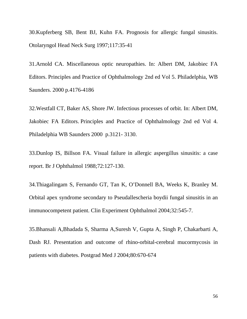30.Kupferberg SB, Bent BJ, Kuhn FA. Prognosis for allergic fungal sinusitis. Otolaryngol Head Neck Surg 1997;117:35-41

31.Arnold CA. Miscellaneous optic neuropathies. In: Albert DM, Jakobiec FA Editors. Principles and Practice of Ophthalmology 2nd ed Vol 5. Philadelphia, WB Saunders. 2000 p.4176-4186

32.Westfall CT, Baker AS, Shore JW. Infectious processes of orbit. In: Albert DM, Jakobiec FA Editors. Principles and Practice of Ophthalmology 2nd ed Vol 4. Philadelphia WB Saunders 2000 p.3121- 3130.

33.Dunlop IS, Billson FA. Visual failure in allergic aspergillus sinusitis: a case report. Br J Ophthalmol 1988;72:127-130.

34.Thiagalingam S, Fernando GT, Tan K, O'Donnell BA, Weeks K, Branley M. Orbital apex syndrome secondary to Pseudallescheria boydii fungal sinusitis in an immunocompetent patient. Clin Experiment Ophthalmol 2004;32:545-7.

35.Bhansali A,Bhadada S, Sharma A,Suresh V, Gupta A, Singh P, Chakarbarti A, Dash RJ. Presentation and outcome of rhino-orbital-cerebral mucormycosis in patients with diabetes. Postgrad Med J 2004;80:670-674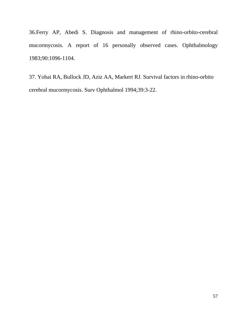36.Ferry AP, Abedi S. Diagnosis and management of rhino-orbito-cerebral mucormycosis. A report of 16 personally observed cases. Ophthalmology 1983;90:1096-1104.

37. Yohai RA, Bullock JD, Aziz AA, Markert RJ. Survival factors in rhino-orbito cerebral mucormycosis. Surv Ophthalmol 1994;39:3-22.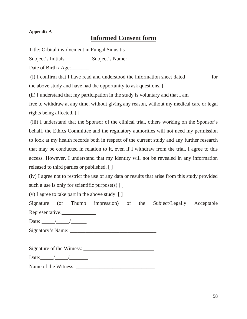#### **Appendix A**

## **Informed Consent form**

Title: Orbital involvement in Fungal Sinusitis

Subject's Initials: \_\_\_\_\_\_\_\_\_\_\_ Subject's Name: \_\_\_\_\_\_\_\_\_

Date of Birth / Age:

(i) I confirm that I have read and understood the information sheet dated \_\_\_\_\_\_\_\_\_ for

the above study and have had the opportunity to ask questions. [ ]

(ii) I understand that my participation in the study is voluntary and that I am

free to withdraw at any time, without giving any reason, without my medical care or legal rights being affected. [ ]

 (iii) I understand that the Sponsor of the clinical trial, others working on the Sponsor's behalf, the Ethics Committee and the regulatory authorities will not need my permission to look at my health records both in respect of the current study and any further research that may be conducted in relation to it, even if I withdraw from the trial. I agree to this access. However, I understand that my identity will not be revealed in any information released to third parties or published. [ ]

(iv) I agree not to restrict the use of any data or results that arise from this study provided such a use is only for scientific purpose(s)  $\lceil \ \rceil$ 

(v) I agree to take part in the above study. [ ]

Signature (or Thumb impression) of the Subject/Legally Acceptable Representative:

Date:  $\frac{\sqrt{2\pi}}{2\pi}$ 

Signatory's Name: \_\_\_\_\_\_\_\_\_\_\_\_\_\_\_\_\_\_\_\_\_\_\_\_\_\_\_\_\_\_\_\_\_

Signature of the Witness: \_\_\_\_\_\_\_\_\_\_\_\_\_\_\_\_\_\_\_\_\_\_\_\_\_\_\_

Date: $\frac{1}{\sqrt{1-\frac{1}{2}}}\frac{1}{\sqrt{1-\frac{1}{2}}}\frac{1}{\sqrt{1-\frac{1}{2}}}\frac{1}{\sqrt{1-\frac{1}{2}}}\frac{1}{\sqrt{1-\frac{1}{2}}}\frac{1}{\sqrt{1-\frac{1}{2}}}\frac{1}{\sqrt{1-\frac{1}{2}}}\frac{1}{\sqrt{1-\frac{1}{2}}}\frac{1}{\sqrt{1-\frac{1}{2}}}\frac{1}{\sqrt{1-\frac{1}{2}}}\frac{1}{\sqrt{1-\frac{1}{2}}}\frac{1}{\sqrt{1-\frac{1}{2}}}\frac{1}{\sqrt{1-\frac{1}{2}}}\frac{1}{\sqrt$ 

Name of the Witness: \_\_\_\_\_\_\_\_\_\_\_\_\_\_\_\_\_\_\_\_\_\_\_\_\_\_\_\_\_\_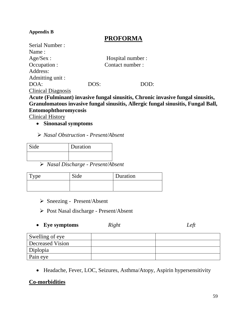#### **Appendix B**

## **PROFORMA**

| Serial Number:            |      |                                                                                 |
|---------------------------|------|---------------------------------------------------------------------------------|
| Name:                     |      |                                                                                 |
| Age/Sex:                  |      | Hospital number:                                                                |
| Occupation :              |      | Contact number:                                                                 |
| Address:                  |      |                                                                                 |
| Admitting unit :          |      |                                                                                 |
| DOA:                      | DOS: | DOD:                                                                            |
| <b>Clinical Diagnosis</b> |      |                                                                                 |
|                           |      | Acute (Fulminant) invasive fungal sinusitis, Chronic invasive fungal sinusitis, |

**Granulomatous invasive fungal sinusitis, Allergic fungal sinusitis, Fungal Ball, Entomophthoromycosis** 

Clinical History

• **Sinonasal symptoms**

¾ *Nasal Obstruction - Present/Absent* 

| Side | Duration |
|------|----------|
|      |          |

¾ *Nasal Discharge - Present/Absent* 

| <b>Type</b> | Side | Duration |
|-------------|------|----------|
|             |      |          |

- ¾ Sneezing Present/Absent
- ¾ Post Nasal discharge Present/Absent

| <b>Eye symptoms</b> | Right | Left |
|---------------------|-------|------|
|                     |       |      |

| Swelling of eye  |  |
|------------------|--|
| Decreased Vision |  |
| Diplopia         |  |
| Pain eye         |  |

• Headache, Fever, LOC, Seizures, Asthma/Atopy, Aspirin hypersensitivity

#### **Co-morbidities**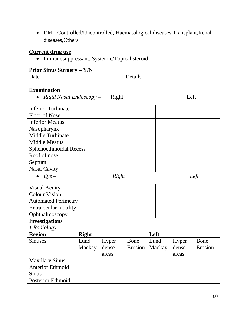• DM - Controlled/Uncontrolled, Haematological diseases,Transplant,Renal diseases,Others

### **Current drug use**

• Immunosuppressant, Systemic/Topical steroid

## **Prior Sinus Surgery – Y/N**

| . |  |
|---|--|
|   |  |

#### **Examination**

• *Rigid Nasal Endoscopy* – Right Left

| <b>Inferior Turbinate</b> |       |  |
|---------------------------|-------|--|
| Floor of Nose             |       |  |
| <b>Inferior Meatus</b>    |       |  |
| Nasopharynx               |       |  |
| Middle Turbinate          |       |  |
| <b>Middle Meatus</b>      |       |  |
| Sphenoethmoidal Recess    |       |  |
| Roof of nose              |       |  |
| Septum                    |       |  |
| <b>Nasal Cavity</b>       |       |  |
| $Eve -$                   | Right |  |

## **Investigations**

*1.Radiology*

| <b>Region</b>           | <b>Right</b> |       |      | Left             |       |         |
|-------------------------|--------------|-------|------|------------------|-------|---------|
| <b>Sinuses</b>          | Lund         | Hyper | Bone | Lund             | Hyper | Bone    |
|                         | Mackay       | dense |      | Erosion   Mackay | dense | Erosion |
|                         |              | areas |      |                  | areas |         |
| <b>Maxillary Sinus</b>  |              |       |      |                  |       |         |
| <b>Anterior Ethmoid</b> |              |       |      |                  |       |         |
| <b>Sinus</b>            |              |       |      |                  |       |         |
| Posterior Ethmoid       |              |       |      |                  |       |         |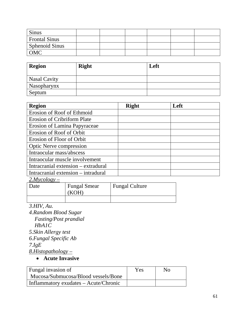| Sinus                 |  |  |  |
|-----------------------|--|--|--|
| Frontal Sinus         |  |  |  |
| <b>Sphenoid Sinus</b> |  |  |  |
| OMC                   |  |  |  |

| <b>Region</b>       | <b>Right</b> | Left |
|---------------------|--------------|------|
| <b>Nasal Cavity</b> |              |      |
| Nasopharynx         |              |      |
| Septum              |              |      |

| <b>Region</b>                       | <b>Right</b> | Left |  |
|-------------------------------------|--------------|------|--|
| Erosion of Roof of Ethmoid          |              |      |  |
| <b>Erosion of Cribriform Plate</b>  |              |      |  |
| Erosion of Lamina Papyraceae        |              |      |  |
| Erosion of Roof of Orbit            |              |      |  |
| Erosion of Floor of Orbit           |              |      |  |
| <b>Optic Nerve compression</b>      |              |      |  |
| Intraocular mass/abscess            |              |      |  |
| Intraocular muscle involvement      |              |      |  |
| Intracranial extension – extradural |              |      |  |
| Intracranial extension – intradural |              |      |  |

*2.Mycology –*

| Date | <b>Fungal Smear</b><br>(KOH) | <b>Fungal Culture</b> |
|------|------------------------------|-----------------------|
|      |                              |                       |

## *3.HIV, Au.*

*4.Random Blood Sugar Fasting/Post prandial HbA1C 5.Skin Allergy test 6.Fungal Specific Ab 7.IgE 8.Histopathology –*

## • **Acute Invasive**

| Fungal invasion of                    | Yes | $N_{\Omega}$ |  |
|---------------------------------------|-----|--------------|--|
| Mucosa/Submucosa/Blood vessels/Bone   |     |              |  |
| Inflammatory exudates – Acute/Chronic |     |              |  |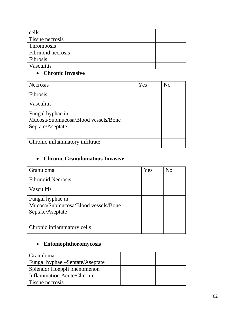| cells              |  |
|--------------------|--|
| Tissue necrosis    |  |
| Thrombosis         |  |
| Fibrinoid necrosis |  |
| Fibrosis           |  |
| Vasculitis         |  |

## • **Chronic Invasive**

| <b>Necrosis</b>                     | Yes | No |
|-------------------------------------|-----|----|
| Fibrosis                            |     |    |
| Vasculitis                          |     |    |
| Fungal hyphae in                    |     |    |
| Mucosa/Submucosa/Blood vessels/Bone |     |    |
| Septate/Aseptate                    |     |    |
|                                     |     |    |
| Chronic inflammatory infiltrate     |     |    |

## • **Chronic Granulomatous Invasive**

| Granuloma                                               | Yes | $\rm No$ |
|---------------------------------------------------------|-----|----------|
| <b>Fibrinoid Necrosis</b>                               |     |          |
| Vasculitis                                              |     |          |
| Fungal hyphae in<br>Mucosa/Submucosa/Blood vessels/Bone |     |          |
| Septate/Aseptate                                        |     |          |
| Chronic inflammatory cells                              |     |          |

## • **Entomophthoromycosis**

| <b>Granuloma</b>                  |  |
|-----------------------------------|--|
| Fungal hyphae – Septate/Aseptate  |  |
| Splendor Hoeppli phenomenon       |  |
| <b>Inflammation Acute/Chronic</b> |  |
| Tissue necrosis                   |  |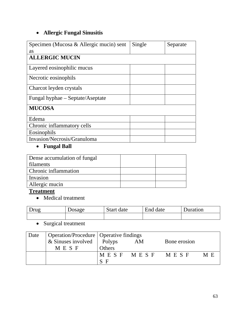## • **Allergic Fungal Sinusitis**

| Specimen (Mucosa & Allergic mucin) sent | Single | Separate |
|-----------------------------------------|--------|----------|
| <b>as</b>                               |        |          |
| <b>ALLERGIC MUCIN</b>                   |        |          |
| Layered eosinophilic mucus              |        |          |
| Necrotic eosinophils                    |        |          |
| Charcot leyden crystals                 |        |          |
| Fungal hyphae – Septate/Aseptate        |        |          |
| <b>MUCOSA</b>                           |        |          |
| Edema                                   |        |          |
| Chronic inflammatory cells              |        |          |
| Eosinophils                             |        |          |
| Invasion/Necrosis/Granuloma             |        |          |

## • **Fungal Ball**

| Dense accumulation of fungal |  |
|------------------------------|--|
| filaments                    |  |
| <b>Chronic inflammation</b>  |  |
| Invasion                     |  |
| Allergic mucin               |  |

#### **Treatment**

• Medical treatment

| Drug | Dosage | Start date | End date | Juration |
|------|--------|------------|----------|----------|
|      |        |            |          |          |

• Surgical treatment

| Date | Operation/Procedure   Operative findings |        |                 |              |     |
|------|------------------------------------------|--------|-----------------|--------------|-----|
|      | & Sinuses involved $\vert$ Polyps        |        | AM              | Bone erosion |     |
|      | MESF                                     | Others |                 |              |     |
|      |                                          |        | IMESF MESF MESF |              | M E |
|      |                                          | E      |                 |              |     |